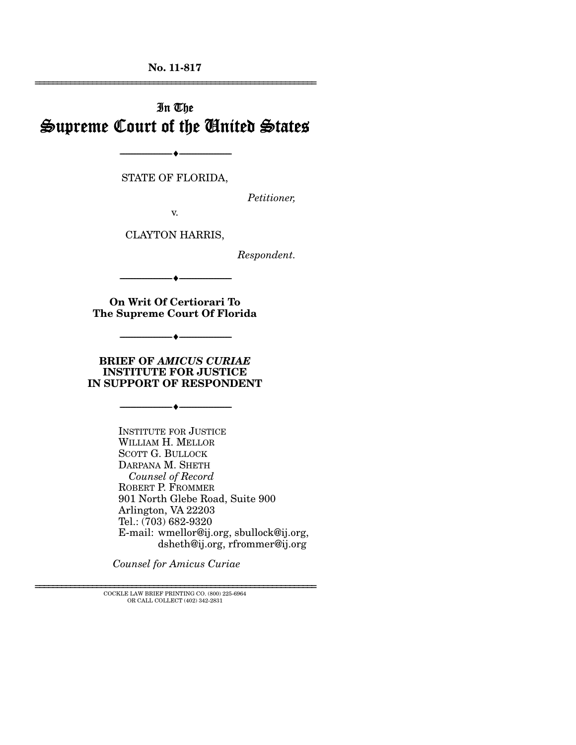**No. 11-817**  ================================================================

# In The Supreme Court of the United States

STATE OF FLORIDA,

--------------------------------- ---------------------------------

*Petitioner,* 

v.

CLAYTON HARRIS,

*Respondent.* 

--------------------------------- ---------------------------------

**On Writ Of Certiorari To The Supreme Court Of Florida** 

--------------------------------- ---------------------------------

**BRIEF OF** *AMICUS CURIAE* **INSTITUTE FOR JUSTICE IN SUPPORT OF RESPONDENT** 

--------------------------------- ---------------------------------

INSTITUTE FOR JUSTICE WILLIAM H. MELLOR SCOTT G. BULLOCK DARPANA M. SHETH  *Counsel of Record*  ROBERT P. FROMMER 901 North Glebe Road, Suite 900 Arlington, VA 22203 Tel.: (703) 682-9320 E-mail: wmellor@ij.org, sbullock@ij.org, dsheth@ij.org, rfrommer@ij.org

*Counsel for Amicus Curiae* 

================================================================ COCKLE LAW BRIEF PRINTING CO. (800) 225-6964 OR CALL COLLECT (402) 342-2831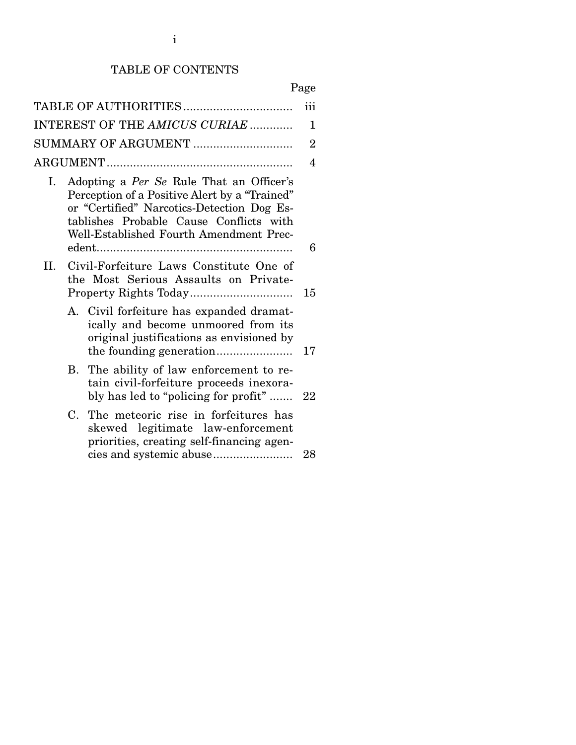## TABLE OF CONTENTS

|--|

|     |                                                                                                                                                                                                                               | iii            |
|-----|-------------------------------------------------------------------------------------------------------------------------------------------------------------------------------------------------------------------------------|----------------|
|     | INTEREST OF THE AMICUS CURIAE                                                                                                                                                                                                 | $\mathbf 1$    |
|     | SUMMARY OF ARGUMENT                                                                                                                                                                                                           | $\overline{2}$ |
|     |                                                                                                                                                                                                                               | $\overline{4}$ |
| I.  | Adopting a Per Se Rule That an Officer's<br>Perception of a Positive Alert by a "Trained"<br>or "Certified" Narcotics-Detection Dog Es-<br>tablishes Probable Cause Conflicts with<br>Well-Established Fourth Amendment Prec- |                |
|     |                                                                                                                                                                                                                               | 6              |
| II. | Civil-Forfeiture Laws Constitute One of<br>the Most Serious Assaults on Private-                                                                                                                                              | 15             |
|     | A. Civil forfeiture has expanded dramat-<br>ically and become unmoored from its<br>original justifications as envisioned by                                                                                                   | 17             |
|     | The ability of law enforcement to re-<br>В.<br>tain civil-forfeiture proceeds inexora-<br>bly has led to "policing for profit"                                                                                                | 22             |
|     | The meteoric rise in forfeitures has<br>C.<br>skewed legitimate law-enforcement<br>priorities, creating self-financing agen-                                                                                                  | 28             |
|     |                                                                                                                                                                                                                               |                |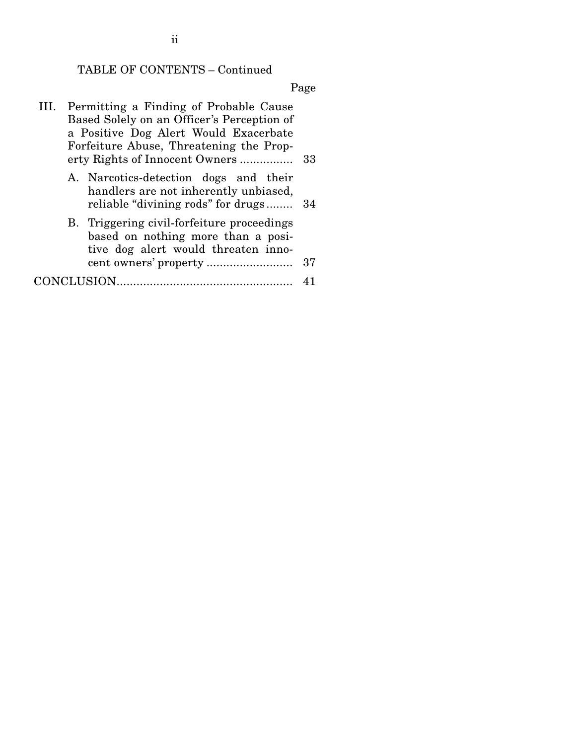# TABLE OF CONTENTS – Continued

Page

| III. Permitting a Finding of Probable Cause                                                                             |    |
|-------------------------------------------------------------------------------------------------------------------------|----|
| Based Solely on an Officer's Perception of                                                                              |    |
| a Positive Dog Alert Would Exacerbate                                                                                   |    |
| Forfeiture Abuse, Threatening the Prop-                                                                                 |    |
| erty Rights of Innocent Owners                                                                                          | 33 |
| A. Narcotics-detection dogs and their<br>handlers are not inherently unbiased,<br>reliable "divining rods" for drugs    | 34 |
| B. Triggering civil-forfeiture proceedings<br>based on nothing more than a posi-<br>tive dog alert would threaten inno- |    |
|                                                                                                                         | 37 |
| JCLUSION.                                                                                                               |    |

ii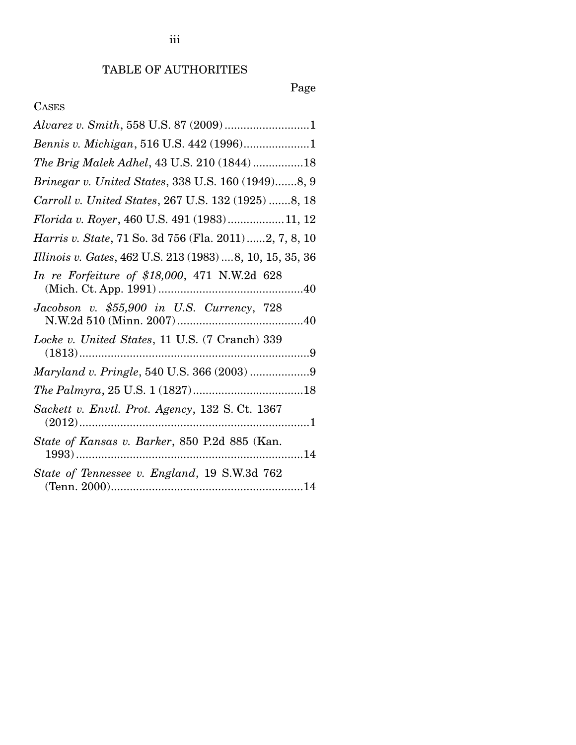# Page

# CASES

| Bennis v. Michigan, 516 U.S. 442 (1996)1                  |
|-----------------------------------------------------------|
| The Brig Malek Adhel, 43 U.S. 210 (1844)18                |
| Brinegar v. United States, 338 U.S. 160 (1949)8, 9        |
| Carroll v. United States, 267 U.S. 132 (1925) 8, 18       |
| Florida v. Royer, 460 U.S. 491 (1983)11, 12               |
| Harris v. State, 71 So. 3d 756 (Fla. 2011)2, 7, 8, 10     |
| Illinois v. Gates, 462 U.S. 213 (1983)  8, 10, 15, 35, 36 |
| In re Forfeiture of \$18,000, 471 N.W.2d 628              |
| Jacobson v. \$55,900 in U.S. Currency, 728                |
| Locke v. United States, 11 U.S. (7 Cranch) 339            |
|                                                           |
|                                                           |
| Sackett v. Envtl. Prot. Agency, 132 S. Ct. 1367           |
| State of Kansas v. Barker, 850 P.2d 885 (Kan.             |
| State of Tennessee v. England, 19 S.W.3d 762              |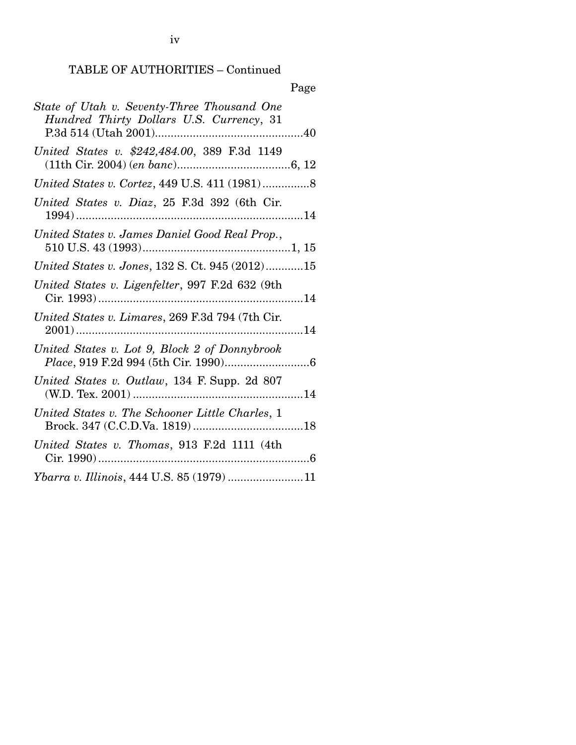iv

# TABLE OF AUTHORITIES – Continued

|                                                                                         | Page |
|-----------------------------------------------------------------------------------------|------|
| State of Utah v. Seventy-Three Thousand One<br>Hundred Thirty Dollars U.S. Currency, 31 |      |
| United States v. \$242,484.00, 389 F.3d 1149                                            |      |
|                                                                                         |      |
| United States v. Diaz, 25 F.3d 392 (6th Cir.                                            |      |
| United States v. James Daniel Good Real Prop.,                                          |      |
| United States v. Jones, 132 S. Ct. 945 (2012)15                                         |      |
| United States v. Ligenfelter, 997 F.2d 632 (9th                                         |      |
| United States v. Limares, 269 F.3d 794 (7th Cir.                                        |      |
| United States v. Lot 9, Block 2 of Donnybrook                                           |      |
| United States v. Outlaw, 134 F. Supp. 2d 807                                            |      |
| United States v. The Schooner Little Charles, 1                                         |      |
| United States v. Thomas, 913 F.2d 1111 (4th                                             |      |
| Ybarra v. Illinois, 444 U.S. 85 (1979) 11                                               |      |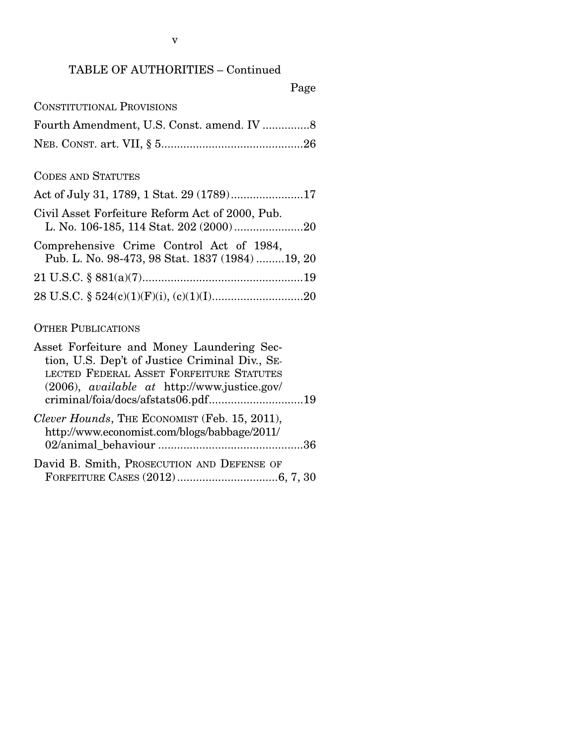### TABLE OF AUTHORITIES – Continued

## Page

| <b>CONSTITUTIONAL PROVISIONS</b> |  |
|----------------------------------|--|
|----------------------------------|--|

### CODES AND STATUTES

| Civil Asset Forfeiture Reform Act of 2000, Pub.                                              |
|----------------------------------------------------------------------------------------------|
| Comprehensive Crime Control Act of 1984,<br>Pub. L. No. 98-473, 98 Stat. 1837 (1984)  19, 20 |
|                                                                                              |
|                                                                                              |

## OTHER PUBLICATIONS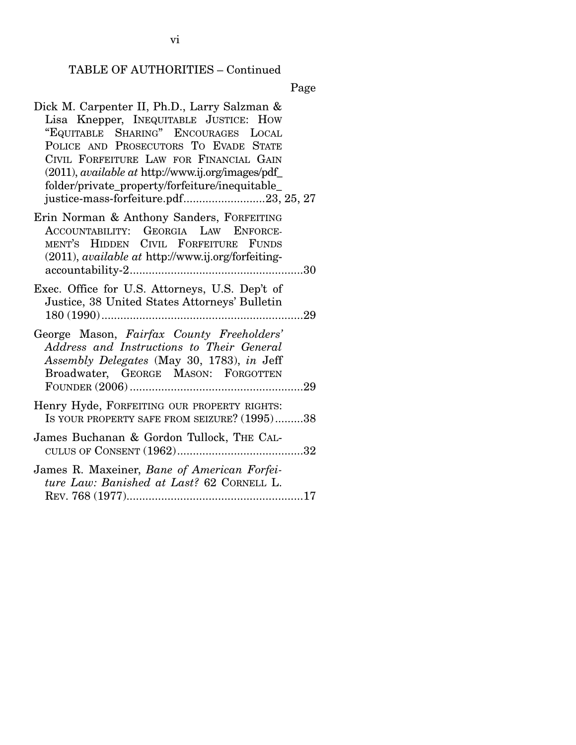#### TABLE OF AUTHORITIES – Continued

Page

Dick M. Carpenter II, Ph.D., Larry Salzman & Lisa Knepper, INEQUITABLE JUSTICE: HOW "EQUITABLE SHARING" ENCOURAGES LOCAL POLICE AND PROSECUTORS TO EVADE STATE CIVIL FORFEITURE LAW FOR FINANCIAL GAIN (2011), *available at* http://www.ij.org/images/pdf\_ folder/private\_property/forfeiture/inequitable\_ justice-mass-forfeiture.pdf............................23, 25, 27 Erin Norman & Anthony Sanders, FORFEITING ACCOUNTABILITY: GEORGIA LAW ENFORCE-MENT'S HIDDEN CIVIL FORFEITURE FUNDS (2011), *available at* http://www.ij.org/forfeitingaccountability-2 ....................................................... 30 Exec. Office for U.S. Attorneys, U.S. Dep't of Justice, 38 United States Attorneys' Bulletin 180 (1990) ................................................................ 29 George Mason, *Fairfax County Freeholders' Address and Instructions to Their General Assembly Delegates* (May 30, 1783), *in* Jeff Broadwater, GEORGE MASON: FORGOTTEN FOUNDER (2006) ....................................................... 29 Henry Hyde, FORFEITING OUR PROPERTY RIGHTS: IS YOUR PROPERTY SAFE FROM SEIZURE? (1995).........38 James Buchanan & Gordon Tullock, THE CAL-CULUS OF CONSENT (1962) ........................................ 32 James R. Maxeiner, *Bane of American Forfeiture Law: Banished at Last?* 62 CORNELL L. REV. 768 (1977) ........................................................ 17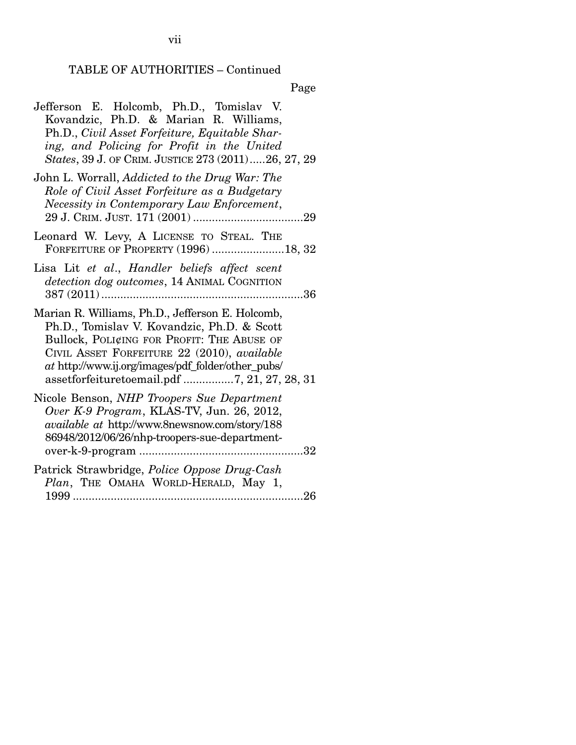# TABLE OF AUTHORITIES – Continued

Page

| Jefferson E. Holcomb, Ph.D., Tomislav V.<br>Kovandzic, Ph.D. & Marian R. Williams,<br>Ph.D., Civil Asset Forfeiture, Equitable Shar-<br>ing, and Policing for Profit in the United<br>States, 39 J. OF CRIM. JUSTICE 273 (2011)26, 27, 29                                                          |
|----------------------------------------------------------------------------------------------------------------------------------------------------------------------------------------------------------------------------------------------------------------------------------------------------|
| John L. Worrall, Addicted to the Drug War: The<br>Role of Civil Asset Forfeiture as a Budgetary<br>Necessity in Contemporary Law Enforcement,                                                                                                                                                      |
| Leonard W. Levy, A LICENSE TO STEAL. THE<br>FORFEITURE OF PROPERTY (1996) 18, 32                                                                                                                                                                                                                   |
| Lisa Lit et al., Handler beliefs affect scent<br>detection dog outcomes, 14 ANIMAL COGNITION                                                                                                                                                                                                       |
| Marian R. Williams, Ph.D., Jefferson E. Holcomb,<br>Ph.D., Tomislav V. Kovandzic, Ph.D. & Scott<br>Bullock, POLICING FOR PROFIT: THE ABUSE OF<br>CIVIL ASSET FORFEITURE 22 (2010), available<br>at http://www.ij.org/images/pdf_folder/other_pubs/<br>assetforfeituretoemail.pdf 7, 21, 27, 28, 31 |
| Nicole Benson, NHP Troopers Sue Department<br>Over K-9 Program, KLAS-TV, Jun. 26, 2012,<br>available at http://www.8newsnow.com/story/188<br>86948/2012/06/26/nhp-troopers-sue-department-                                                                                                         |
| Patrick Strawbridge, Police Oppose Drug-Cash<br>Plan, THE OMAHA WORLD-HERALD, May 1,                                                                                                                                                                                                               |

vii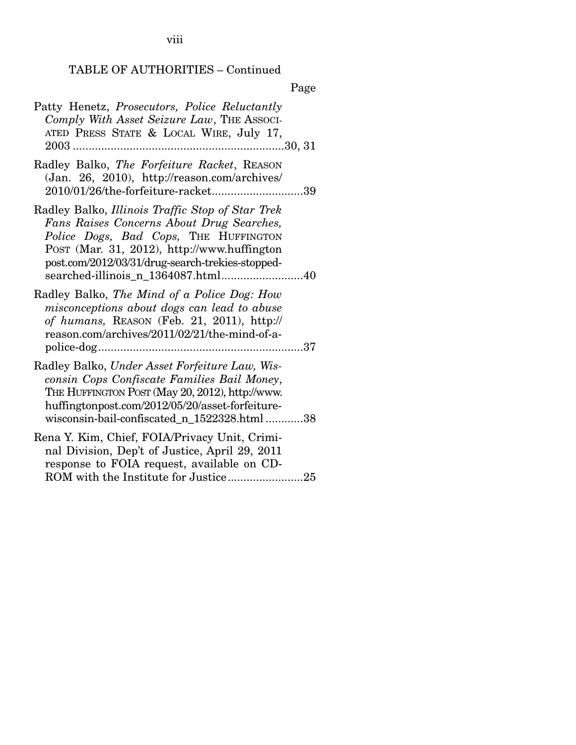viii

# TABLE OF AUTHORITIES – Continued

|--|

| Patty Henetz, <i>Prosecutors</i> , <i>Police Reluctantly</i><br>Comply With Asset Seizure Law, THE ASSOCI-<br>ATED PRESS STATE & LOCAL WIRE, July 17,                                                                                                                           |  |
|---------------------------------------------------------------------------------------------------------------------------------------------------------------------------------------------------------------------------------------------------------------------------------|--|
| Radley Balko, The Forfeiture Racket, REASON<br>(Jan. 26, 2010), http://reason.com/archives/<br>2010/01/26/the-forfeiture-racket39                                                                                                                                               |  |
| Radley Balko, Illinois Traffic Stop of Star Trek<br>Fans Raises Concerns About Drug Searches,<br>Police Dogs, Bad Cops, THE HUFFINGTON<br>Post (Mar. 31, 2012), http://www.huffington<br>post.com/2012/03/31/drug-search-trekies-stopped-<br>searched-illinois_n_1364087.html40 |  |
| Radley Balko, The Mind of a Police Dog: How<br>misconceptions about dogs can lead to abuse<br>of humans, REASON (Feb. 21, 2011), http://<br>reason.com/archives/2011/02/21/the-mind-of-a-                                                                                       |  |
| Radley Balko, Under Asset Forfeiture Law, Wis-<br>consin Cops Confiscate Families Bail Money,<br>THE HUFFINGTON POST (May 20, 2012), http://www.<br>huffingtonpost.com/2012/05/20/asset-forfeiture-<br>wisconsin-bail-confiscated_n_1522328.html 38                             |  |
| Rena Y. Kim, Chief, FOIA/Privacy Unit, Crimi-<br>nal Division, Dep't of Justice, April 29, 2011<br>response to FOIA request, available on CD-                                                                                                                                   |  |

ROM with the Institute for Justice ........................ 25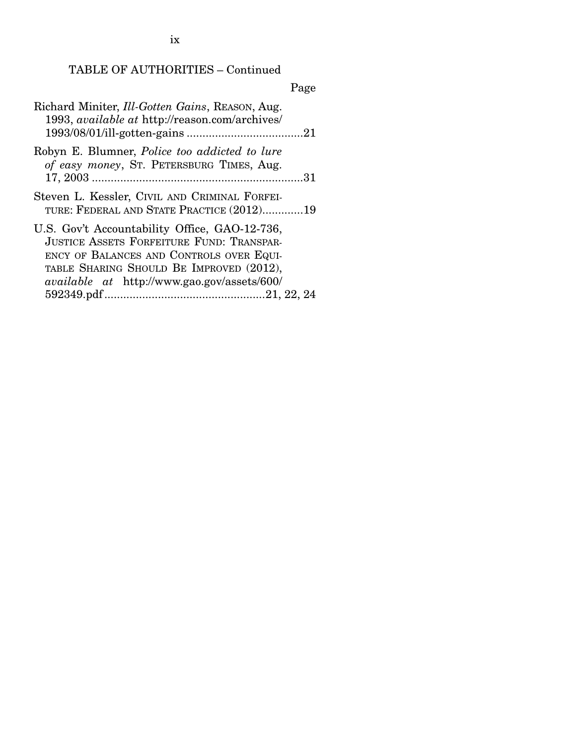ix

# TABLE OF AUTHORITIES – Continued

# Page

| Richard Miniter, Ill-Gotten Gains, REASON, Aug.<br>1993, available at http://reason.com/archives/                                                                                                                                               |
|-------------------------------------------------------------------------------------------------------------------------------------------------------------------------------------------------------------------------------------------------|
| Robyn E. Blumner, <i>Police too addicted to lure</i><br>of easy money, ST. PETERSBURG TIMES, Aug.                                                                                                                                               |
| Steven L. Kessler, CIVIL AND CRIMINAL FORFEI-<br>TURE: FEDERAL AND STATE PRACTICE (2012)19                                                                                                                                                      |
| U.S. Gov't Accountability Office, GAO-12-736,<br><b>JUSTICE ASSETS FORFEITURE FUND: TRANSPAR-</b><br>ENCY OF BALANCES AND CONTROLS OVER EQUI-<br>TABLE SHARING SHOULD BE IMPROVED (2012),<br><i>available at http://www.gao.gov/assets/600/</i> |
|                                                                                                                                                                                                                                                 |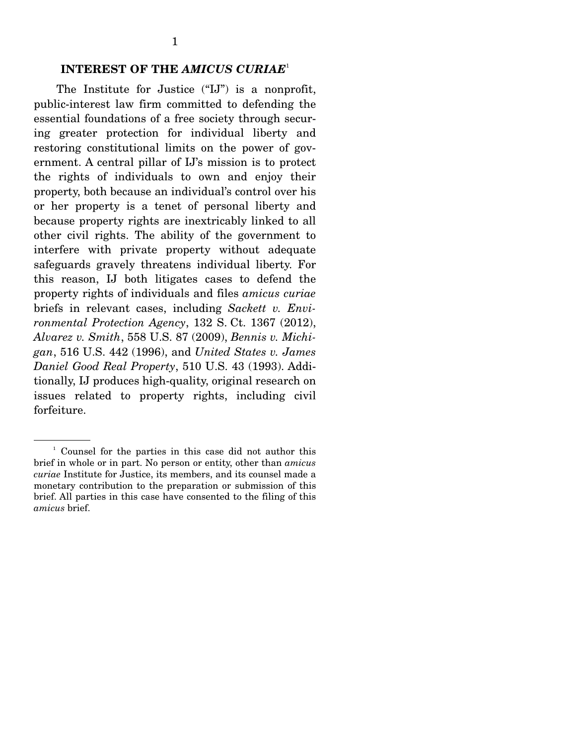### **INTEREST OF THE** *AMICUS CURIAE*<sup>1</sup>

The Institute for Justice ("IJ") is a nonprofit, public-interest law firm committed to defending the essential foundations of a free society through securing greater protection for individual liberty and restoring constitutional limits on the power of government. A central pillar of IJ's mission is to protect the rights of individuals to own and enjoy their property, both because an individual's control over his or her property is a tenet of personal liberty and because property rights are inextricably linked to all other civil rights. The ability of the government to interfere with private property without adequate safeguards gravely threatens individual liberty. For this reason, IJ both litigates cases to defend the property rights of individuals and files *amicus curiae*  briefs in relevant cases, including *Sackett v. Environmental Protection Agency*, 132 S. Ct. 1367 (2012), *Alvarez v. Smith*, 558 U.S. 87 (2009), *Bennis v. Michigan*, 516 U.S. 442 (1996), and *United States v. James Daniel Good Real Property*, 510 U.S. 43 (1993). Additionally, IJ produces high-quality, original research on issues related to property rights, including civil forfeiture.

<sup>1</sup> Counsel for the parties in this case did not author this brief in whole or in part. No person or entity, other than *amicus curiae* Institute for Justice, its members, and its counsel made a monetary contribution to the preparation or submission of this brief. All parties in this case have consented to the filing of this *amicus* brief.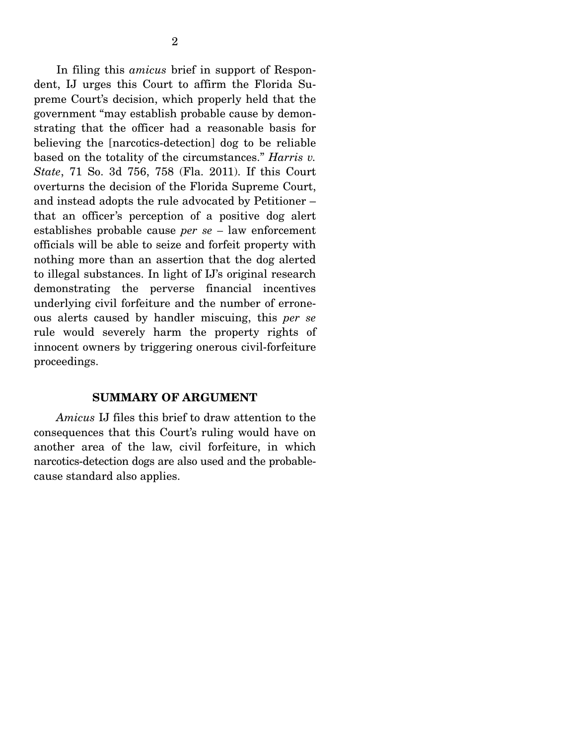In filing this *amicus* brief in support of Respondent, IJ urges this Court to affirm the Florida Supreme Court's decision, which properly held that the government "may establish probable cause by demonstrating that the officer had a reasonable basis for believing the [narcotics-detection] dog to be reliable based on the totality of the circumstances." *Harris v. State*, 71 So. 3d 756, 758 (Fla. 2011). If this Court overturns the decision of the Florida Supreme Court, and instead adopts the rule advocated by Petitioner – that an officer's perception of a positive dog alert establishes probable cause *per se –* law enforcement officials will be able to seize and forfeit property with nothing more than an assertion that the dog alerted to illegal substances. In light of IJ's original research demonstrating the perverse financial incentives underlying civil forfeiture and the number of erroneous alerts caused by handler miscuing, this *per se* rule would severely harm the property rights of innocent owners by triggering onerous civil-forfeiture proceedings.

#### **SUMMARY OF ARGUMENT**

*Amicus* IJ files this brief to draw attention to the consequences that this Court's ruling would have on another area of the law, civil forfeiture, in which narcotics-detection dogs are also used and the probablecause standard also applies.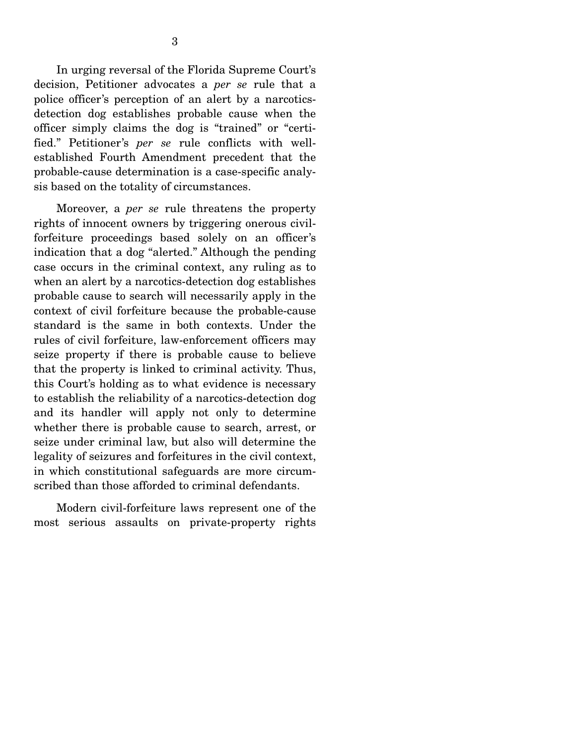In urging reversal of the Florida Supreme Court's decision, Petitioner advocates a *per se* rule that a police officer's perception of an alert by a narcoticsdetection dog establishes probable cause when the officer simply claims the dog is "trained" or "certified." Petitioner's *per se* rule conflicts with wellestablished Fourth Amendment precedent that the probable-cause determination is a case-specific analysis based on the totality of circumstances.

 Moreover, a *per se* rule threatens the property rights of innocent owners by triggering onerous civilforfeiture proceedings based solely on an officer's indication that a dog "alerted." Although the pending case occurs in the criminal context, any ruling as to when an alert by a narcotics-detection dog establishes probable cause to search will necessarily apply in the context of civil forfeiture because the probable-cause standard is the same in both contexts. Under the rules of civil forfeiture, law-enforcement officers may seize property if there is probable cause to believe that the property is linked to criminal activity. Thus, this Court's holding as to what evidence is necessary to establish the reliability of a narcotics-detection dog and its handler will apply not only to determine whether there is probable cause to search, arrest, or seize under criminal law, but also will determine the legality of seizures and forfeitures in the civil context, in which constitutional safeguards are more circumscribed than those afforded to criminal defendants.

 Modern civil-forfeiture laws represent one of the most serious assaults on private-property rights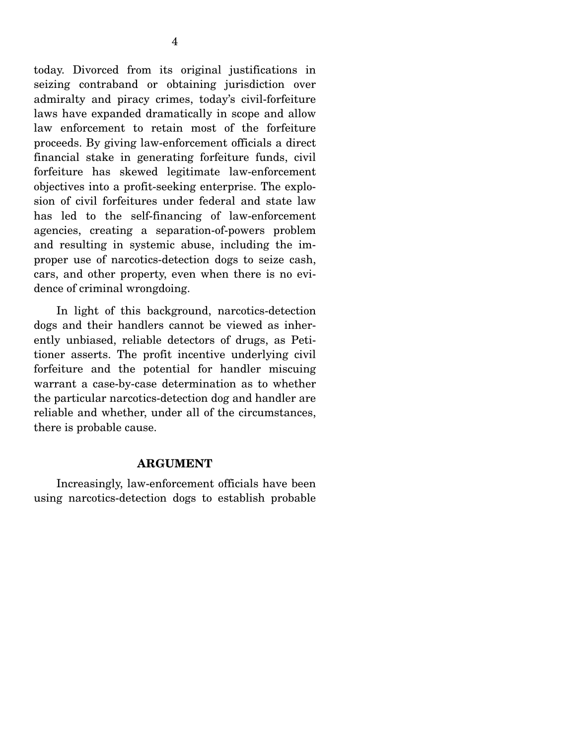today. Divorced from its original justifications in seizing contraband or obtaining jurisdiction over admiralty and piracy crimes, today's civil-forfeiture laws have expanded dramatically in scope and allow law enforcement to retain most of the forfeiture proceeds. By giving law-enforcement officials a direct financial stake in generating forfeiture funds, civil forfeiture has skewed legitimate law-enforcement objectives into a profit-seeking enterprise. The explosion of civil forfeitures under federal and state law has led to the self-financing of law-enforcement agencies, creating a separation-of-powers problem and resulting in systemic abuse, including the improper use of narcotics-detection dogs to seize cash, cars, and other property, even when there is no evidence of criminal wrongdoing.

 In light of this background, narcotics-detection dogs and their handlers cannot be viewed as inherently unbiased, reliable detectors of drugs, as Petitioner asserts. The profit incentive underlying civil forfeiture and the potential for handler miscuing warrant a case-by-case determination as to whether the particular narcotics-detection dog and handler are reliable and whether, under all of the circumstances, there is probable cause.

#### **ARGUMENT**

 Increasingly, law-enforcement officials have been using narcotics-detection dogs to establish probable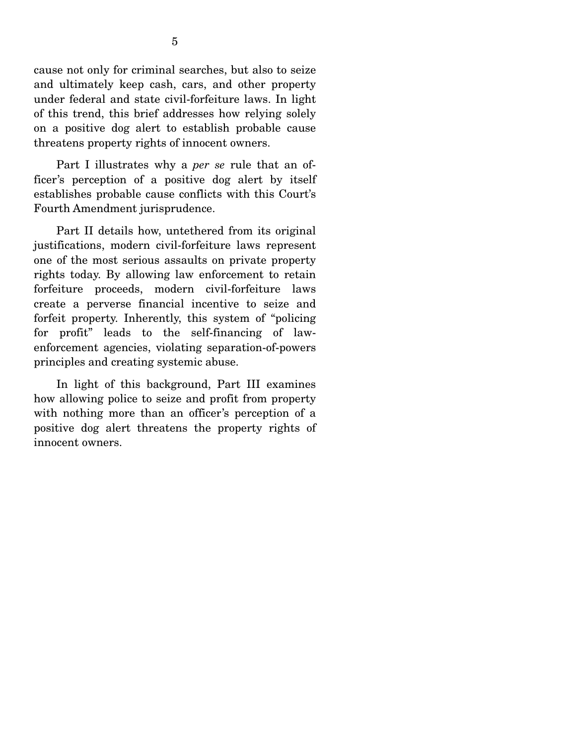cause not only for criminal searches, but also to seize and ultimately keep cash, cars, and other property under federal and state civil-forfeiture laws. In light of this trend, this brief addresses how relying solely on a positive dog alert to establish probable cause threatens property rights of innocent owners.

 Part I illustrates why a *per se* rule that an officer's perception of a positive dog alert by itself establishes probable cause conflicts with this Court's Fourth Amendment jurisprudence.

 Part II details how, untethered from its original justifications, modern civil-forfeiture laws represent one of the most serious assaults on private property rights today. By allowing law enforcement to retain forfeiture proceeds, modern civil-forfeiture laws create a perverse financial incentive to seize and forfeit property. Inherently, this system of "policing for profit" leads to the self-financing of lawenforcement agencies, violating separation-of-powers principles and creating systemic abuse.

 In light of this background, Part III examines how allowing police to seize and profit from property with nothing more than an officer's perception of a positive dog alert threatens the property rights of innocent owners.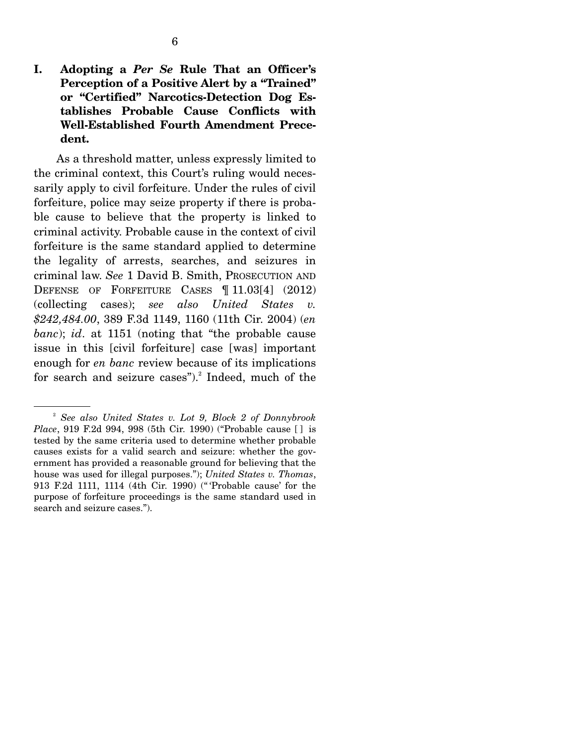As a threshold matter, unless expressly limited to the criminal context, this Court's ruling would necessarily apply to civil forfeiture. Under the rules of civil forfeiture, police may seize property if there is probable cause to believe that the property is linked to criminal activity. Probable cause in the context of civil forfeiture is the same standard applied to determine the legality of arrests, searches, and seizures in criminal law. *See* 1 David B. Smith, PROSECUTION AND DEFENSE OF FORFEITURE CASES ¶ 11.03[4] (2012) (collecting cases); *see also United States v. \$242,484.00*, 389 F.3d 1149, 1160 (11th Cir. 2004) (*en banc*); *id*. at 1151 (noting that "the probable cause issue in this [civil forfeiture] case [was] important enough for *en banc* review because of its implications for search and seizure cases").<sup>2</sup> Indeed, much of the

<sup>2</sup> *See also United States v. Lot 9, Block 2 of Donnybrook Place*, 919 F.2d 994, 998 (5th Cir. 1990) ("Probable cause [ ] is tested by the same criteria used to determine whether probable causes exists for a valid search and seizure: whether the government has provided a reasonable ground for believing that the house was used for illegal purposes."); *United States v. Thomas*, 913 F.2d 1111, 1114 (4th Cir. 1990) (" 'Probable cause' for the purpose of forfeiture proceedings is the same standard used in search and seizure cases.").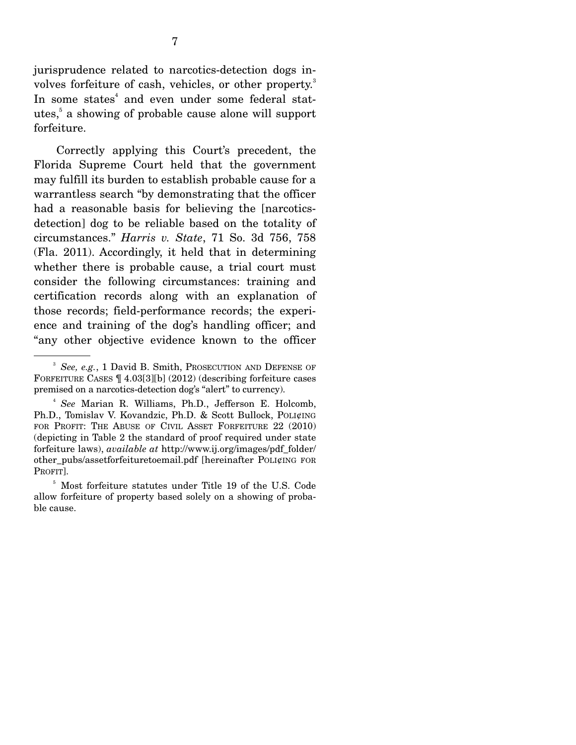jurisprudence related to narcotics-detection dogs involves forfeiture of cash, vehicles, or other property.<sup>3</sup> In some states<sup>4</sup> and even under some federal statutes,<sup>5</sup> a showing of probable cause alone will support forfeiture.

 Correctly applying this Court's precedent, the Florida Supreme Court held that the government may fulfill its burden to establish probable cause for a warrantless search "by demonstrating that the officer had a reasonable basis for believing the [narcoticsdetection] dog to be reliable based on the totality of circumstances." *Harris v. State*, 71 So. 3d 756, 758 (Fla. 2011). Accordingly, it held that in determining whether there is probable cause, a trial court must consider the following circumstances: training and certification records along with an explanation of those records; field-performance records; the experience and training of the dog's handling officer; and "any other objective evidence known to the officer

<sup>3</sup> *See, e.g.*, 1 David B. Smith, PROSECUTION AND DEFENSE OF FORFEITURE CASES ¶ 4.03[3][b] (2012) (describing forfeiture cases premised on a narcotics-detection dog's "alert" to currency).

<sup>4</sup> *See* Marian R. Williams, Ph.D., Jefferson E. Holcomb, Ph.D., Tomislav V. Kovandzic, Ph.D. & Scott Bullock, POLI¢ING FOR PROFIT: THE ABUSE OF CIVIL ASSET FORFEITURE 22 (2010) (depicting in Table 2 the standard of proof required under state forfeiture laws), *available at* http://www.ij.org/images/pdf\_folder/ other\_pubs/assetforfeituretoemail.pdf [hereinafter POLI¢ING FOR PROFIT].

<sup>5</sup> Most forfeiture statutes under Title 19 of the U.S. Code allow forfeiture of property based solely on a showing of probable cause.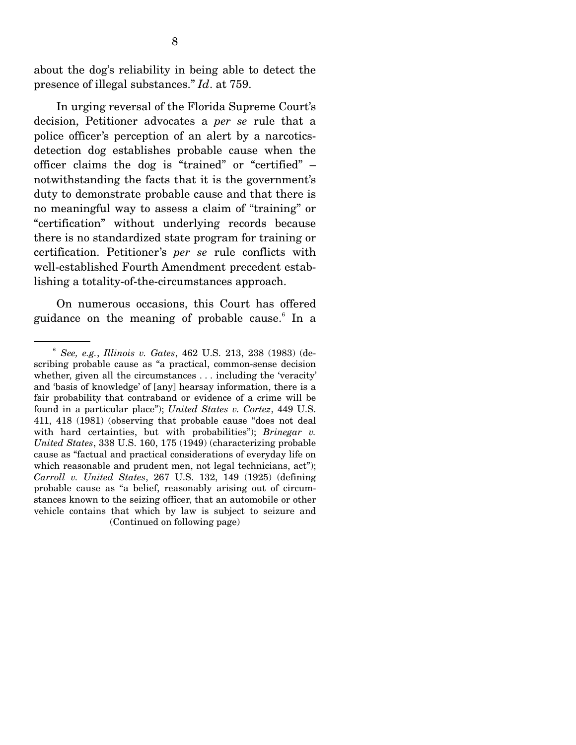about the dog's reliability in being able to detect the presence of illegal substances." *Id*. at 759.

 In urging reversal of the Florida Supreme Court's decision, Petitioner advocates a *per se* rule that a police officer's perception of an alert by a narcoticsdetection dog establishes probable cause when the officer claims the dog is "trained" or "certified" – notwithstanding the facts that it is the government's duty to demonstrate probable cause and that there is no meaningful way to assess a claim of "training" or "certification" without underlying records because there is no standardized state program for training or certification. Petitioner's *per se* rule conflicts with well-established Fourth Amendment precedent establishing a totality-of-the-circumstances approach.

 On numerous occasions, this Court has offered guidance on the meaning of probable cause.<sup>6</sup> In a

<sup>6</sup> *See, e.g.*, *Illinois v. Gates*, 462 U.S. 213, 238 (1983) (describing probable cause as "a practical, common-sense decision whether, given all the circumstances . . . including the 'veracity' and 'basis of knowledge' of [any] hearsay information, there is a fair probability that contraband or evidence of a crime will be found in a particular place"); *United States v. Cortez*, 449 U.S. 411, 418 (1981) (observing that probable cause "does not deal with hard certainties, but with probabilities"); *Brinegar v. United States*, 338 U.S. 160, 175 (1949) (characterizing probable cause as "factual and practical considerations of everyday life on which reasonable and prudent men, not legal technicians, act"); *Carroll v. United States*, 267 U.S. 132, 149 (1925) (defining probable cause as "a belief, reasonably arising out of circumstances known to the seizing officer, that an automobile or other vehicle contains that which by law is subject to seizure and (Continued on following page)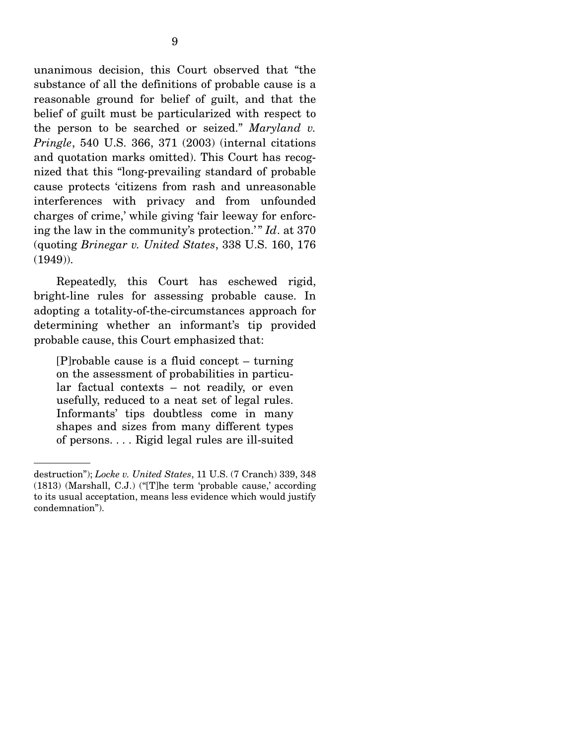unanimous decision, this Court observed that "the substance of all the definitions of probable cause is a reasonable ground for belief of guilt, and that the belief of guilt must be particularized with respect to the person to be searched or seized." *Maryland v. Pringle*, 540 U.S. 366, 371 (2003) (internal citations and quotation marks omitted). This Court has recognized that this "long-prevailing standard of probable cause protects 'citizens from rash and unreasonable interferences with privacy and from unfounded charges of crime,' while giving 'fair leeway for enforcing the law in the community's protection.'" *Id*. at 370 (quoting *Brinegar v. United States*, 338 U.S. 160, 176 (1949)).

 Repeatedly, this Court has eschewed rigid, bright-line rules for assessing probable cause. In adopting a totality-of-the-circumstances approach for determining whether an informant's tip provided probable cause, this Court emphasized that:

[P]robable cause is a fluid concept – turning on the assessment of probabilities in particular factual contexts – not readily, or even usefully, reduced to a neat set of legal rules. Informants' tips doubtless come in many shapes and sizes from many different types of persons. . . . Rigid legal rules are ill-suited

destruction"); *Locke v. United States*, 11 U.S. (7 Cranch) 339, 348 (1813) (Marshall, C.J.) ("[T]he term 'probable cause,' according to its usual acceptation, means less evidence which would justify condemnation").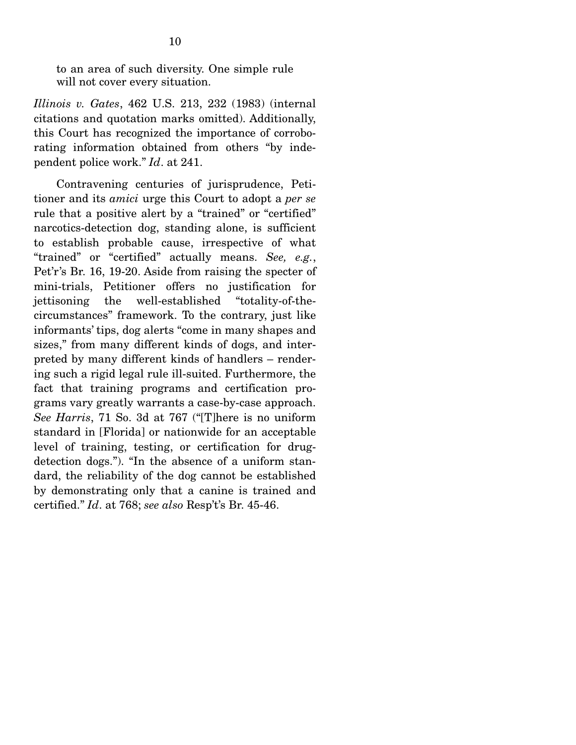to an area of such diversity. One simple rule will not cover every situation.

*Illinois v. Gates*, 462 U.S. 213, 232 (1983) (internal citations and quotation marks omitted). Additionally, this Court has recognized the importance of corroborating information obtained from others "by independent police work." *Id*. at 241.

 Contravening centuries of jurisprudence, Petitioner and its *amici* urge this Court to adopt a *per se* rule that a positive alert by a "trained" or "certified" narcotics-detection dog, standing alone, is sufficient to establish probable cause, irrespective of what "trained" or "certified" actually means. *See, e.g.*, Pet'r's Br. 16, 19-20. Aside from raising the specter of mini-trials, Petitioner offers no justification for jettisoning the well-established "totality-of-thecircumstances" framework. To the contrary, just like informants' tips, dog alerts "come in many shapes and sizes," from many different kinds of dogs, and interpreted by many different kinds of handlers – rendering such a rigid legal rule ill-suited. Furthermore, the fact that training programs and certification programs vary greatly warrants a case-by-case approach. *See Harris*, 71 So. 3d at 767 ("[T]here is no uniform standard in [Florida] or nationwide for an acceptable level of training, testing, or certification for drugdetection dogs."). "In the absence of a uniform standard, the reliability of the dog cannot be established by demonstrating only that a canine is trained and certified." *Id*. at 768; *see also* Resp't's Br. 45-46.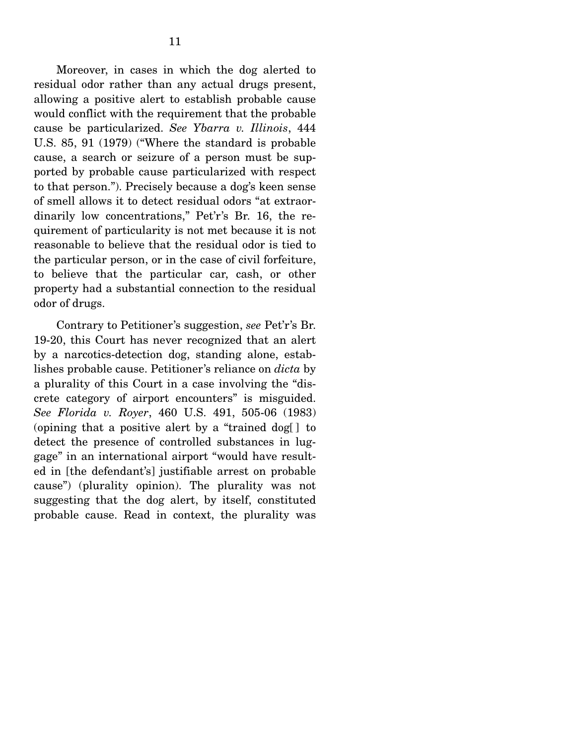Moreover, in cases in which the dog alerted to residual odor rather than any actual drugs present, allowing a positive alert to establish probable cause would conflict with the requirement that the probable cause be particularized. *See Ybarra v. Illinois*, 444 U.S. 85, 91 (1979) ("Where the standard is probable cause, a search or seizure of a person must be supported by probable cause particularized with respect to that person."). Precisely because a dog's keen sense of smell allows it to detect residual odors "at extraordinarily low concentrations," Pet'r's Br. 16, the requirement of particularity is not met because it is not reasonable to believe that the residual odor is tied to the particular person, or in the case of civil forfeiture, to believe that the particular car, cash, or other property had a substantial connection to the residual odor of drugs.

 Contrary to Petitioner's suggestion, *see* Pet'r's Br. 19-20, this Court has never recognized that an alert by a narcotics-detection dog, standing alone, establishes probable cause. Petitioner's reliance on *dicta* by a plurality of this Court in a case involving the "discrete category of airport encounters" is misguided. *See Florida v. Royer*, 460 U.S. 491, 505-06 (1983) (opining that a positive alert by a "trained dog[ ] to detect the presence of controlled substances in luggage" in an international airport "would have resulted in [the defendant's] justifiable arrest on probable cause") (plurality opinion). The plurality was not suggesting that the dog alert, by itself, constituted probable cause. Read in context, the plurality was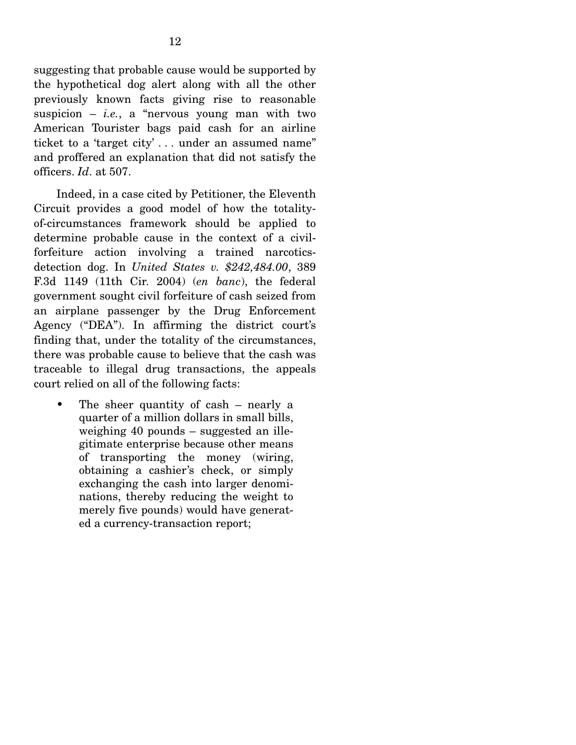suggesting that probable cause would be supported by the hypothetical dog alert along with all the other previously known facts giving rise to reasonable suspicion  $-$  *i.e.*, a "nervous young man with two American Tourister bags paid cash for an airline ticket to a 'target city' . . . under an assumed name" and proffered an explanation that did not satisfy the officers. *Id*. at 507.

 Indeed, in a case cited by Petitioner, the Eleventh Circuit provides a good model of how the totalityof-circumstances framework should be applied to determine probable cause in the context of a civilforfeiture action involving a trained narcoticsdetection dog. In *United States v. \$242,484.00*, 389 F.3d 1149 (11th Cir. 2004) (*en banc*), the federal government sought civil forfeiture of cash seized from an airplane passenger by the Drug Enforcement Agency ("DEA"). In affirming the district court's finding that, under the totality of the circumstances, there was probable cause to believe that the cash was traceable to illegal drug transactions, the appeals court relied on all of the following facts:

• The sheer quantity of cash – nearly a quarter of a million dollars in small bills, weighing 40 pounds – suggested an illegitimate enterprise because other means of transporting the money (wiring, obtaining a cashier's check, or simply exchanging the cash into larger denominations, thereby reducing the weight to merely five pounds) would have generated a currency-transaction report;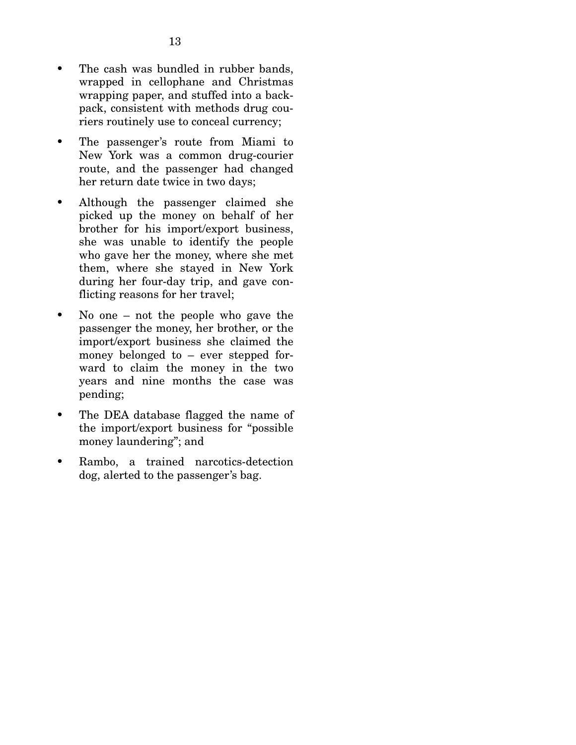- The cash was bundled in rubber bands. wrapped in cellophane and Christmas wrapping paper, and stuffed into a backpack, consistent with methods drug couriers routinely use to conceal currency;
- The passenger's route from Miami to New York was a common drug-courier route, and the passenger had changed her return date twice in two days;
- Although the passenger claimed she picked up the money on behalf of her brother for his import/export business, she was unable to identify the people who gave her the money, where she met them, where she stayed in New York during her four-day trip, and gave conflicting reasons for her travel;
- No one not the people who gave the passenger the money, her brother, or the import/export business she claimed the money belonged to – ever stepped forward to claim the money in the two years and nine months the case was pending;
- The DEA database flagged the name of the import/export business for "possible money laundering"; and
- Rambo, a trained narcotics-detection dog, alerted to the passenger's bag.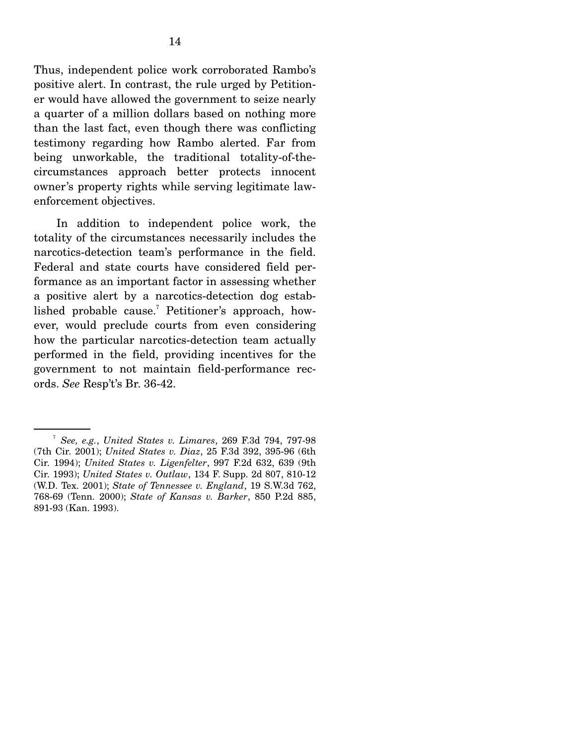Thus, independent police work corroborated Rambo's positive alert. In contrast, the rule urged by Petitioner would have allowed the government to seize nearly a quarter of a million dollars based on nothing more than the last fact, even though there was conflicting testimony regarding how Rambo alerted. Far from being unworkable, the traditional totality-of-thecircumstances approach better protects innocent owner's property rights while serving legitimate lawenforcement objectives.

 In addition to independent police work, the totality of the circumstances necessarily includes the narcotics-detection team's performance in the field. Federal and state courts have considered field performance as an important factor in assessing whether a positive alert by a narcotics-detection dog established probable cause.<sup>7</sup> Petitioner's approach, however, would preclude courts from even considering how the particular narcotics-detection team actually performed in the field, providing incentives for the government to not maintain field-performance records. *See* Resp't's Br. 36-42.

<sup>7</sup> *See, e.g.*, *United States v. Limares*, 269 F.3d 794, 797-98 (7th Cir. 2001); *United States v. Diaz*, 25 F.3d 392, 395-96 (6th Cir. 1994); *United States v. Ligenfelter*, 997 F.2d 632, 639 (9th Cir. 1993); *United States v. Outlaw*, 134 F. Supp. 2d 807, 810-12 (W.D. Tex. 2001); *State of Tennessee v. England*, 19 S.W.3d 762, 768-69 (Tenn. 2000); *State of Kansas v. Barker*, 850 P.2d 885, 891-93 (Kan. 1993).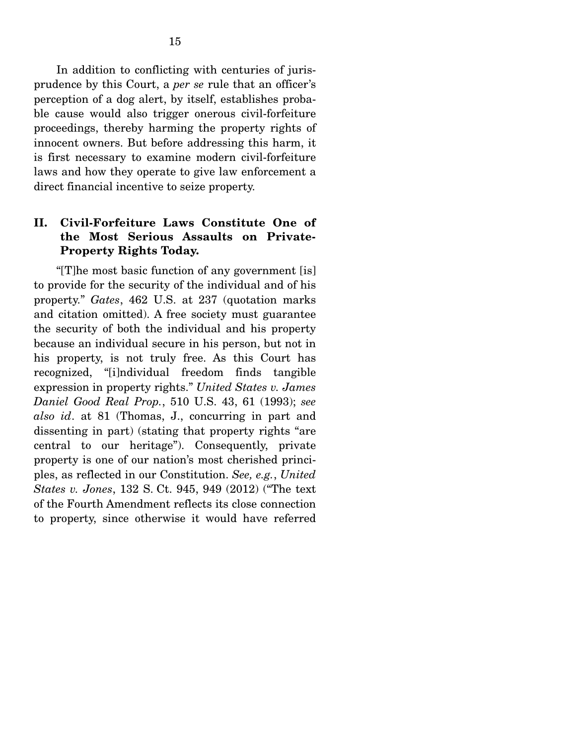In addition to conflicting with centuries of jurisprudence by this Court, a *per se* rule that an officer's perception of a dog alert, by itself, establishes probable cause would also trigger onerous civil-forfeiture proceedings, thereby harming the property rights of innocent owners. But before addressing this harm, it is first necessary to examine modern civil-forfeiture laws and how they operate to give law enforcement a direct financial incentive to seize property.

### **II. Civil-Forfeiture Laws Constitute One of the Most Serious Assaults on Private-Property Rights Today.**

 "[T]he most basic function of any government [is] to provide for the security of the individual and of his property." *Gates*, 462 U.S. at 237 (quotation marks and citation omitted). A free society must guarantee the security of both the individual and his property because an individual secure in his person, but not in his property, is not truly free. As this Court has recognized, "[i]ndividual freedom finds tangible expression in property rights." *United States v. James Daniel Good Real Prop.*, 510 U.S. 43, 61 (1993); *see also id*. at 81 (Thomas, J., concurring in part and dissenting in part) (stating that property rights "are central to our heritage"). Consequently, private property is one of our nation's most cherished principles, as reflected in our Constitution. *See, e.g.*, *United States v. Jones*, 132 S. Ct. 945, 949 (2012) ("The text of the Fourth Amendment reflects its close connection to property, since otherwise it would have referred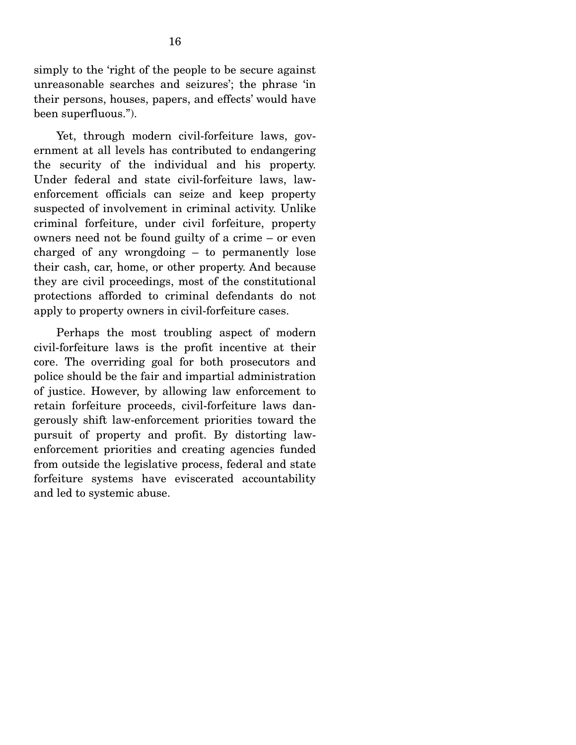simply to the 'right of the people to be secure against unreasonable searches and seizures'; the phrase 'in their persons, houses, papers, and effects' would have been superfluous.").

 Yet, through modern civil-forfeiture laws, government at all levels has contributed to endangering the security of the individual and his property. Under federal and state civil-forfeiture laws, lawenforcement officials can seize and keep property suspected of involvement in criminal activity. Unlike criminal forfeiture, under civil forfeiture, property owners need not be found guilty of a crime – or even charged of any wrongdoing – to permanently lose their cash, car, home, or other property. And because they are civil proceedings, most of the constitutional protections afforded to criminal defendants do not apply to property owners in civil-forfeiture cases.

 Perhaps the most troubling aspect of modern civil-forfeiture laws is the profit incentive at their core. The overriding goal for both prosecutors and police should be the fair and impartial administration of justice. However, by allowing law enforcement to retain forfeiture proceeds, civil-forfeiture laws dangerously shift law-enforcement priorities toward the pursuit of property and profit. By distorting lawenforcement priorities and creating agencies funded from outside the legislative process, federal and state forfeiture systems have eviscerated accountability and led to systemic abuse.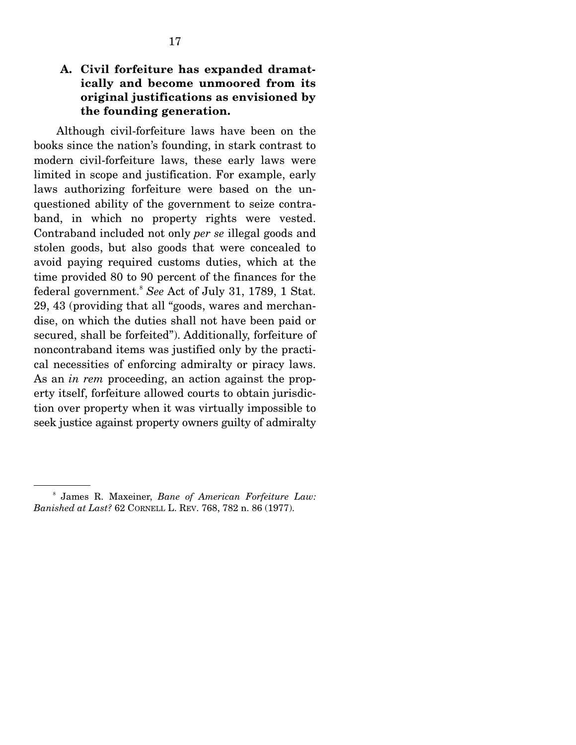### **A. Civil forfeiture has expanded dramatically and become unmoored from its original justifications as envisioned by the founding generation.**

 Although civil-forfeiture laws have been on the books since the nation's founding, in stark contrast to modern civil-forfeiture laws, these early laws were limited in scope and justification. For example, early laws authorizing forfeiture were based on the unquestioned ability of the government to seize contraband, in which no property rights were vested. Contraband included not only *per se* illegal goods and stolen goods, but also goods that were concealed to avoid paying required customs duties, which at the time provided 80 to 90 percent of the finances for the federal government.<sup>8</sup> *See* Act of July 31, 1789, 1 Stat. 29, 43 (providing that all "goods, wares and merchandise, on which the duties shall not have been paid or secured, shall be forfeited"). Additionally, forfeiture of noncontraband items was justified only by the practical necessities of enforcing admiralty or piracy laws. As an *in rem* proceeding, an action against the property itself, forfeiture allowed courts to obtain jurisdiction over property when it was virtually impossible to seek justice against property owners guilty of admiralty

<sup>8</sup> James R. Maxeiner, *Bane of American Forfeiture Law: Banished at Last?* 62 CORNELL L. REV. 768, 782 n. 86 (1977).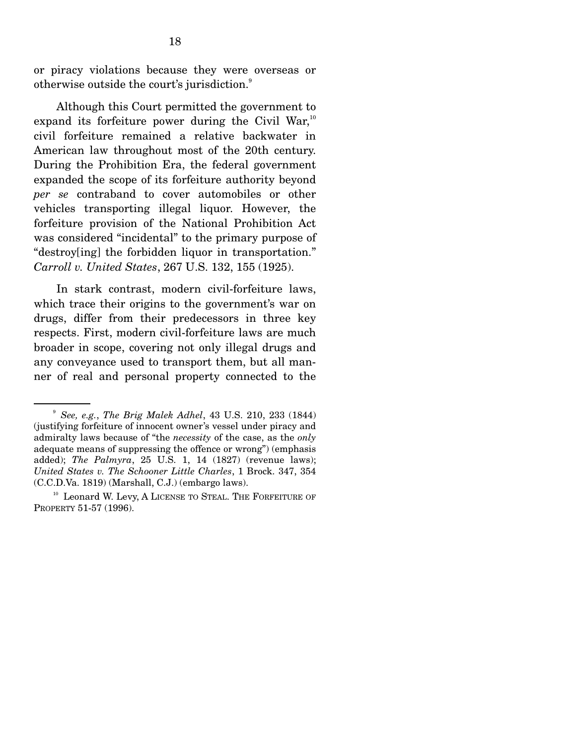or piracy violations because they were overseas or otherwise outside the court's jurisdiction. $^{\circ}$ 

 Although this Court permitted the government to expand its forfeiture power during the Civil War, $10$ civil forfeiture remained a relative backwater in American law throughout most of the 20th century. During the Prohibition Era, the federal government expanded the scope of its forfeiture authority beyond *per se* contraband to cover automobiles or other vehicles transporting illegal liquor. However, the forfeiture provision of the National Prohibition Act was considered "incidental" to the primary purpose of "destroy[ing] the forbidden liquor in transportation." *Carroll v. United States*, 267 U.S. 132, 155 (1925).

 In stark contrast, modern civil-forfeiture laws, which trace their origins to the government's war on drugs, differ from their predecessors in three key respects. First, modern civil-forfeiture laws are much broader in scope, covering not only illegal drugs and any conveyance used to transport them, but all manner of real and personal property connected to the

<sup>9</sup> *See, e.g.*, *The Brig Malek Adhel*, 43 U.S. 210, 233 (1844) (justifying forfeiture of innocent owner's vessel under piracy and admiralty laws because of "the *necessity* of the case, as the *only* adequate means of suppressing the offence or wrong") (emphasis added); *The Palmyra*, 25 U.S. 1, 14 (1827) (revenue laws); *United States v. The Schooner Little Charles*, 1 Brock. 347, 354 (C.C.D.Va. 1819) (Marshall, C.J.) (embargo laws).

<sup>&</sup>lt;sup>10</sup> Leonard W. Levy, A LICENSE TO STEAL. THE FORFEITURE OF PROPERTY 51-57 (1996).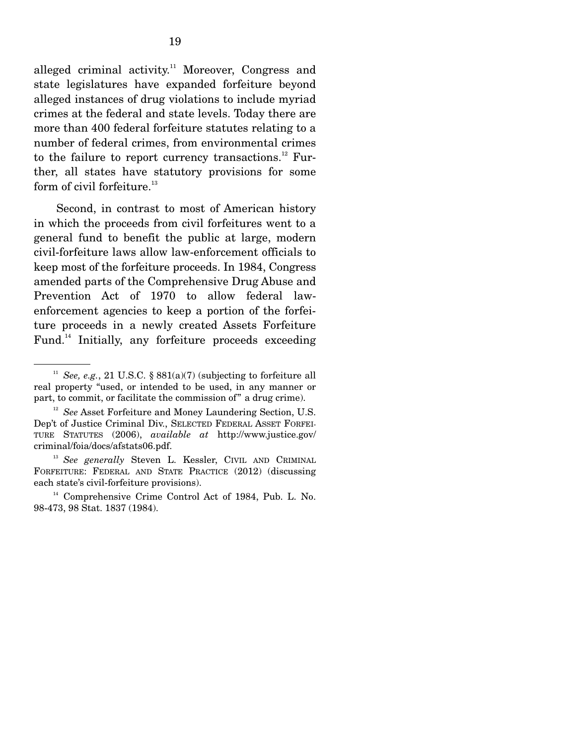alleged criminal activity.<sup>11</sup> Moreover, Congress and state legislatures have expanded forfeiture beyond alleged instances of drug violations to include myriad crimes at the federal and state levels. Today there are more than 400 federal forfeiture statutes relating to a number of federal crimes, from environmental crimes to the failure to report currency transactions.<sup>12</sup> Further, all states have statutory provisions for some form of civil forfeiture. $^{13}$ 

 Second, in contrast to most of American history in which the proceeds from civil forfeitures went to a general fund to benefit the public at large, modern civil-forfeiture laws allow law-enforcement officials to keep most of the forfeiture proceeds. In 1984, Congress amended parts of the Comprehensive Drug Abuse and Prevention Act of 1970 to allow federal lawenforcement agencies to keep a portion of the forfeiture proceeds in a newly created Assets Forfeiture Fund.<sup>14</sup> Initially, any forfeiture proceeds exceeding

<sup>13</sup> See generally Steven L. Kessler, CIVIL AND CRIMINAL FORFEITURE: FEDERAL AND STATE PRACTICE (2012) (discussing each state's civil-forfeiture provisions).

<sup>&</sup>lt;sup>11</sup> *See, e.g.*, 21 U.S.C. §  $881(a)(7)$  (subjecting to forfeiture all real property "used, or intended to be used, in any manner or part, to commit, or facilitate the commission of" a drug crime).

<sup>&</sup>lt;sup>12</sup> *See* Asset Forfeiture and Money Laundering Section, U.S. Dep't of Justice Criminal Div., SELECTED FEDERAL ASSET FORFEI-TURE STATUTES (2006), *available at* http://www.justice.gov/ criminal/foia/docs/afstats06.pdf.

<sup>&</sup>lt;sup>14</sup> Comprehensive Crime Control Act of 1984, Pub. L. No. 98-473, 98 Stat. 1837 (1984).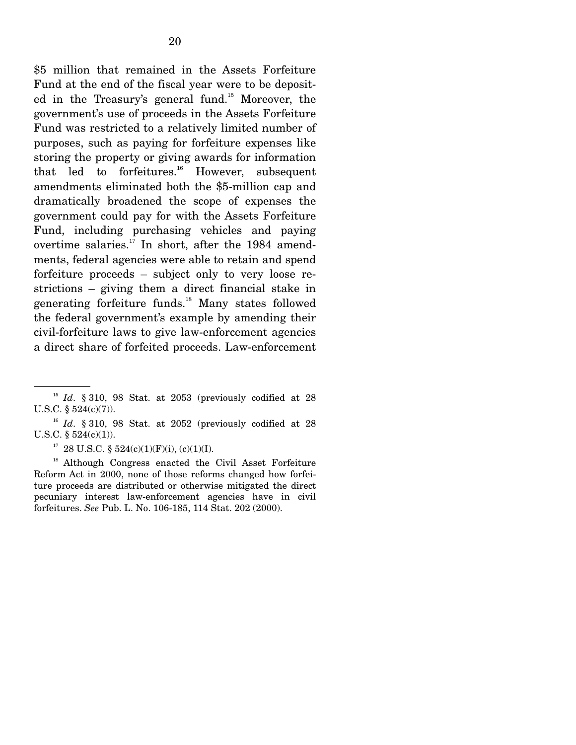\$5 million that remained in the Assets Forfeiture Fund at the end of the fiscal year were to be deposited in the Treasury's general fund.<sup>15</sup> Moreover, the government's use of proceeds in the Assets Forfeiture Fund was restricted to a relatively limited number of purposes, such as paying for forfeiture expenses like storing the property or giving awards for information that led to forfeitures. $^{16}$  However, subsequent amendments eliminated both the \$5-million cap and dramatically broadened the scope of expenses the government could pay for with the Assets Forfeiture Fund, including purchasing vehicles and paying overtime salaries. $17$  In short, after the 1984 amendments, federal agencies were able to retain and spend forfeiture proceeds – subject only to very loose restrictions – giving them a direct financial stake in generating forfeiture funds.18 Many states followed the federal government's example by amending their civil-forfeiture laws to give law-enforcement agencies a direct share of forfeited proceeds. Law-enforcement

 $15$  *Id.* § 310, 98 Stat. at 2053 (previously codified at 28 U.S.C. § 524(c)(7)).

 $16$  *Id.* § 310, 98 Stat. at 2052 (previously codified at 28 U.S.C. § 524(c)(1)).

<sup>&</sup>lt;sup>17</sup> 28 U.S.C. § 524(c)(1)(F)(i), (c)(1)(I).

<sup>&</sup>lt;sup>18</sup> Although Congress enacted the Civil Asset Forfeiture Reform Act in 2000, none of those reforms changed how forfeiture proceeds are distributed or otherwise mitigated the direct pecuniary interest law-enforcement agencies have in civil forfeitures. *See* Pub. L. No. 106-185, 114 Stat. 202 (2000).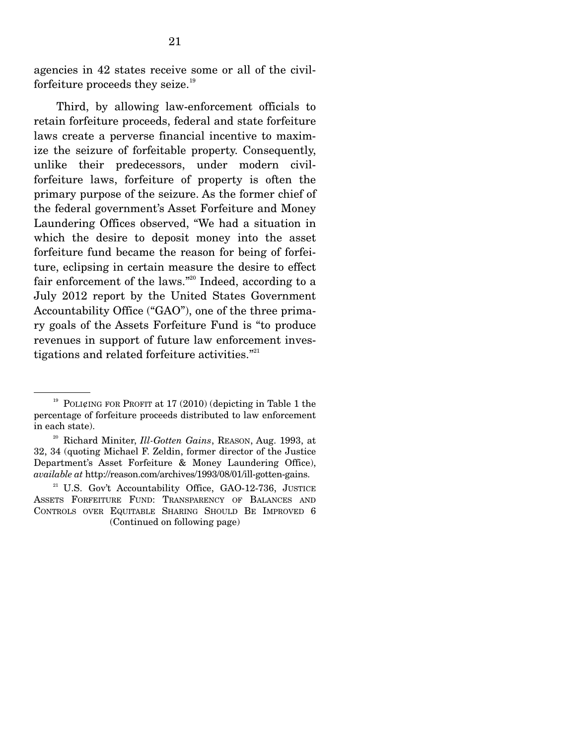agencies in 42 states receive some or all of the civilforfeiture proceeds they seize. $19$ 

 Third, by allowing law-enforcement officials to retain forfeiture proceeds, federal and state forfeiture laws create a perverse financial incentive to maximize the seizure of forfeitable property. Consequently, unlike their predecessors, under modern civilforfeiture laws, forfeiture of property is often the primary purpose of the seizure. As the former chief of the federal government's Asset Forfeiture and Money Laundering Offices observed, "We had a situation in which the desire to deposit money into the asset forfeiture fund became the reason for being of forfeiture, eclipsing in certain measure the desire to effect fair enforcement of the laws."<sup>20</sup> Indeed, according to a July 2012 report by the United States Government Accountability Office ("GAO"), one of the three primary goals of the Assets Forfeiture Fund is "to produce revenues in support of future law enforcement investigations and related forfeiture activities."<sup>21</sup>

<sup>&</sup>lt;sup>19</sup> POLI¢ING FOR PROFIT at 17 (2010) (depicting in Table 1 the percentage of forfeiture proceeds distributed to law enforcement in each state).

<sup>20</sup> Richard Miniter, *Ill-Gotten Gains*, REASON, Aug. 1993, at 32, 34 (quoting Michael F. Zeldin, former director of the Justice Department's Asset Forfeiture & Money Laundering Office), *available at* http://reason.com/archives/1993/08/01/ill-gotten-gains.

<sup>&</sup>lt;sup>21</sup> U.S. Gov't Accountability Office, GAO-12-736, JUSTICE ASSETS FORFEITURE FUND: TRANSPARENCY OF BALANCES AND CONTROLS OVER EQUITABLE SHARING SHOULD BE IMPROVED 6 (Continued on following page)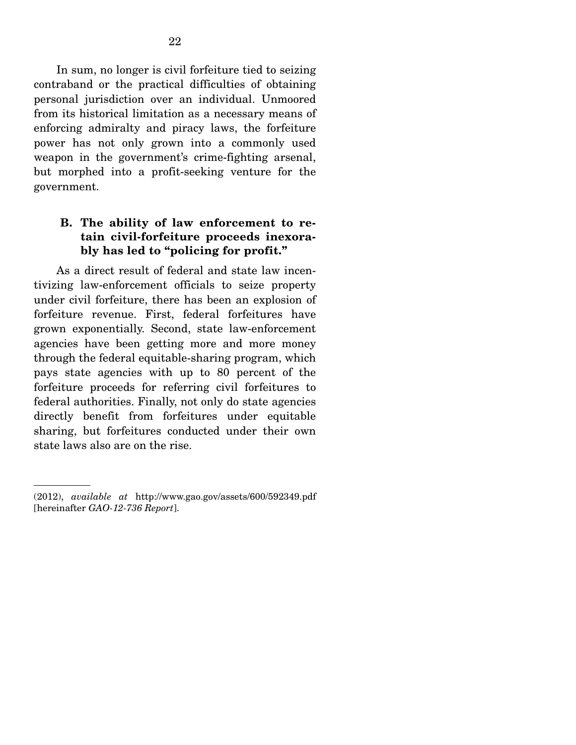In sum, no longer is civil forfeiture tied to seizing contraband or the practical difficulties of obtaining personal jurisdiction over an individual. Unmoored from its historical limitation as a necessary means of enforcing admiralty and piracy laws, the forfeiture power has not only grown into a commonly used weapon in the government's crime-fighting arsenal, but morphed into a profit-seeking venture for the government.

### **B. The ability of law enforcement to retain civil-forfeiture proceeds inexorably has led to "policing for profit."**

 As a direct result of federal and state law incentivizing law-enforcement officials to seize property under civil forfeiture, there has been an explosion of forfeiture revenue. First, federal forfeitures have grown exponentially. Second, state law-enforcement agencies have been getting more and more money through the federal equitable-sharing program, which pays state agencies with up to 80 percent of the forfeiture proceeds for referring civil forfeitures to federal authorities. Finally, not only do state agencies directly benefit from forfeitures under equitable sharing, but forfeitures conducted under their own state laws also are on the rise.

<sup>(2012),</sup> *available at* http://www.gao.gov/assets/600/592349.pdf [hereinafter *GAO-12-736 Report*].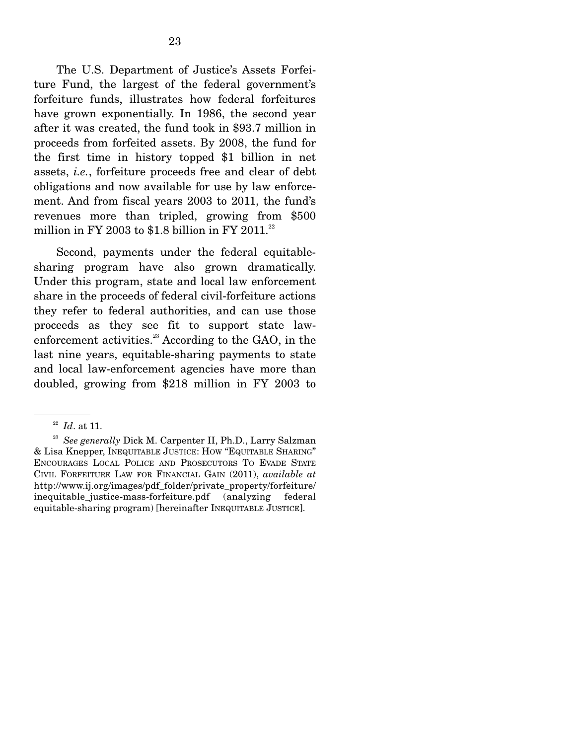The U.S. Department of Justice's Assets Forfeiture Fund, the largest of the federal government's forfeiture funds, illustrates how federal forfeitures have grown exponentially. In 1986, the second year after it was created, the fund took in \$93.7 million in proceeds from forfeited assets. By 2008, the fund for the first time in history topped \$1 billion in net assets, *i.e.*, forfeiture proceeds free and clear of debt obligations and now available for use by law enforcement. And from fiscal years 2003 to 2011, the fund's revenues more than tripled, growing from \$500 million in FY 2003 to \$1.8 billion in FY 2011.<sup>22</sup>

 Second, payments under the federal equitablesharing program have also grown dramatically. Under this program, state and local law enforcement share in the proceeds of federal civil-forfeiture actions they refer to federal authorities, and can use those proceeds as they see fit to support state lawenforcement activities. $^{23}$  According to the GAO, in the last nine years, equitable-sharing payments to state and local law-enforcement agencies have more than doubled, growing from \$218 million in FY 2003 to

<sup>22</sup> *Id*. at 11.

<sup>23</sup> *See generally* Dick M. Carpenter II, Ph.D., Larry Salzman & Lisa Knepper, INEQUITABLE JUSTICE: HOW "EQUITABLE SHARING" ENCOURAGES LOCAL POLICE AND PROSECUTORS TO EVADE STATE CIVIL FORFEITURE LAW FOR FINANCIAL GAIN (2011), *available at* http://www.ij.org/images/pdf\_folder/private\_property/forfeiture/ inequitable\_justice-mass-forfeiture.pdf (analyzing federal equitable-sharing program) [hereinafter INEQUITABLE JUSTICE].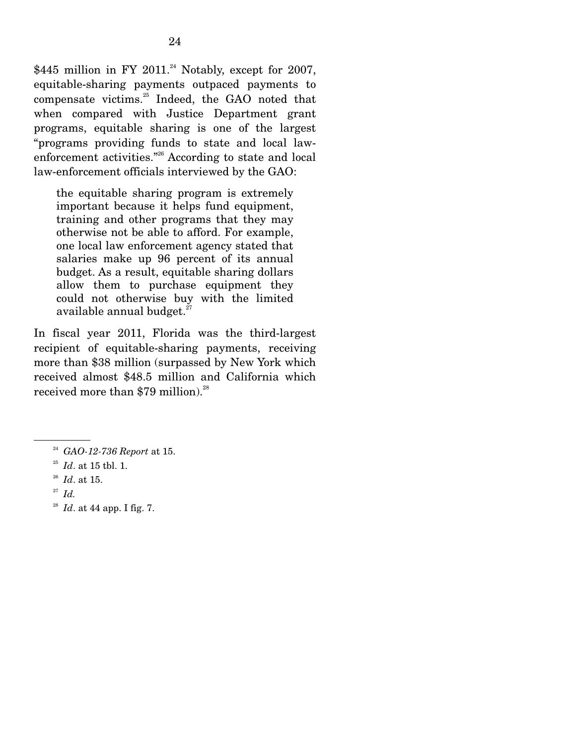\$445 million in FY 2011.<sup>24</sup> Notably, except for 2007, equitable-sharing payments outpaced payments to compensate victims.<sup>25</sup> Indeed, the GAO noted that when compared with Justice Department grant programs, equitable sharing is one of the largest "programs providing funds to state and local lawenforcement activities."26 According to state and local law-enforcement officials interviewed by the GAO:

the equitable sharing program is extremely important because it helps fund equipment, training and other programs that they may otherwise not be able to afford. For example, one local law enforcement agency stated that salaries make up 96 percent of its annual budget. As a result, equitable sharing dollars allow them to purchase equipment they could not otherwise buy with the limited available annual budget. $^{27}$ 

In fiscal year 2011, Florida was the third-largest recipient of equitable-sharing payments, receiving more than \$38 million (surpassed by New York which received almost \$48.5 million and California which received more than \$79 million).<sup>28</sup>

<sup>28</sup> *Id*. at 44 app. I fig. 7.

<sup>24</sup> *GAO-12-736 Report* at 15. 25 *Id*. at 15 tbl. 1.

<sup>26</sup> *Id*. at 15.

<sup>27</sup> *Id.*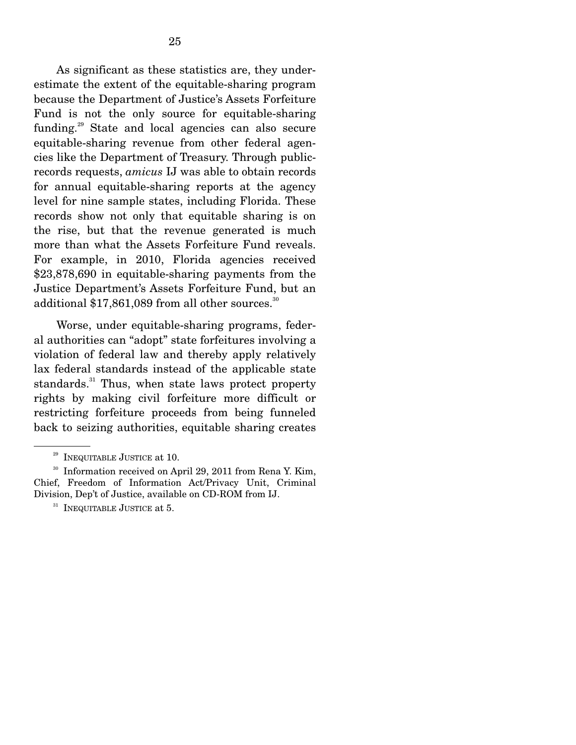As significant as these statistics are, they underestimate the extent of the equitable-sharing program because the Department of Justice's Assets Forfeiture Fund is not the only source for equitable-sharing funding.29 State and local agencies can also secure equitable-sharing revenue from other federal agencies like the Department of Treasury. Through publicrecords requests, *amicus* IJ was able to obtain records for annual equitable-sharing reports at the agency level for nine sample states, including Florida. These records show not only that equitable sharing is on the rise, but that the revenue generated is much more than what the Assets Forfeiture Fund reveals. For example, in 2010, Florida agencies received \$23,878,690 in equitable-sharing payments from the Justice Department's Assets Forfeiture Fund, but an additional  $$17,861,089$  from all other sources.<sup>30</sup>

 Worse, under equitable-sharing programs, federal authorities can "adopt" state forfeitures involving a violation of federal law and thereby apply relatively lax federal standards instead of the applicable state standards. $31$  Thus, when state laws protect property rights by making civil forfeiture more difficult or restricting forfeiture proceeds from being funneled back to seizing authorities, equitable sharing creates

<sup>&</sup>lt;sup>29</sup> INEQUITABLE JUSTICE at 10.<br><sup>30</sup> Information received on April 29, 2011 from Rena Y. Kim, Chief, Freedom of Information Act/Privacy Unit, Criminal Division, Dep't of Justice, available on CD-ROM from IJ.

 $31$  INEQUITABLE JUSTICE at 5.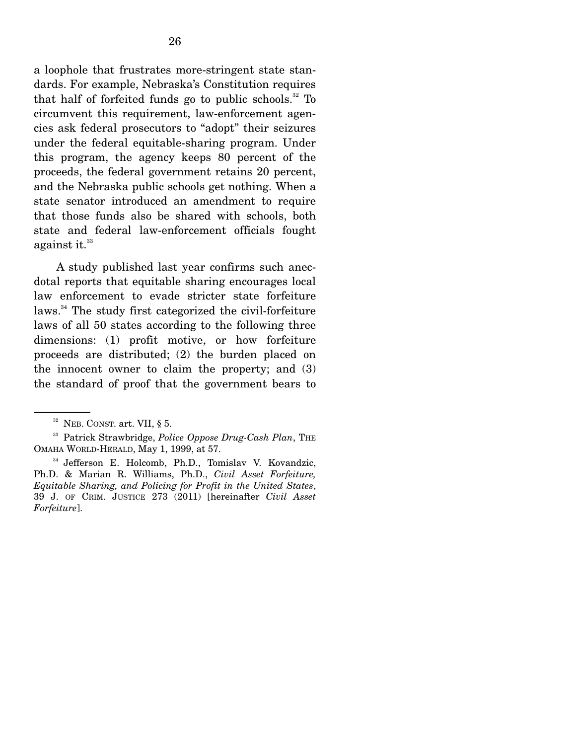a loophole that frustrates more-stringent state standards. For example, Nebraska's Constitution requires that half of forfeited funds go to public schools.<sup>32</sup> To circumvent this requirement, law-enforcement agencies ask federal prosecutors to "adopt" their seizures under the federal equitable-sharing program. Under this program, the agency keeps 80 percent of the proceeds, the federal government retains 20 percent, and the Nebraska public schools get nothing. When a state senator introduced an amendment to require that those funds also be shared with schools, both state and federal law-enforcement officials fought against it. $33$ 

 A study published last year confirms such anecdotal reports that equitable sharing encourages local law enforcement to evade stricter state forfeiture laws.<sup>34</sup> The study first categorized the civil-forfeiture laws of all 50 states according to the following three dimensions: (1) profit motive, or how forfeiture proceeds are distributed; (2) the burden placed on the innocent owner to claim the property; and (3) the standard of proof that the government bears to

 $32$  NEB. CONST. art. VII, § 5.

<sup>&</sup>lt;sup>33</sup> Patrick Strawbridge, *Police Oppose Drug-Cash Plan*, THE OMAHA WORLD-HERALD, May 1, 1999, at 57.

<sup>34</sup> Jefferson E. Holcomb, Ph.D., Tomislav V. Kovandzic, Ph.D. & Marian R. Williams, Ph.D., *Civil Asset Forfeiture, Equitable Sharing, and Policing for Profit in the United States*, 39 J. OF CRIM. JUSTICE 273 (2011) [hereinafter *Civil Asset Forfeiture*].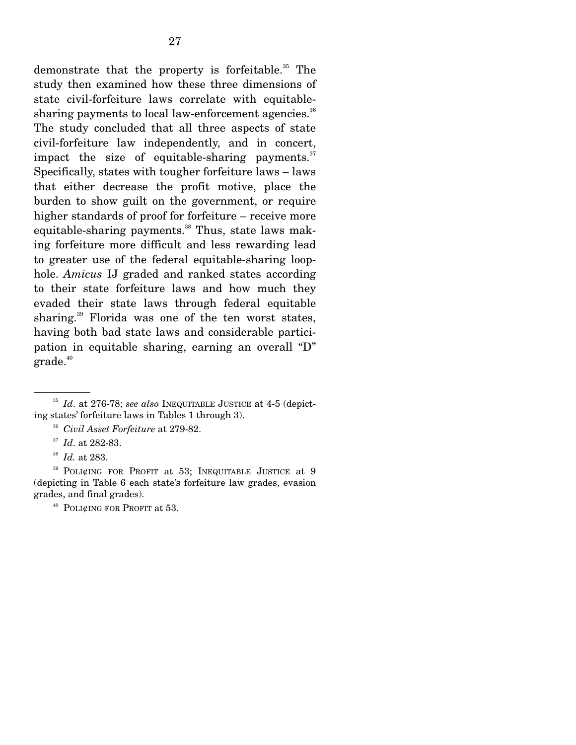demonstrate that the property is forfeitable.<sup>35</sup> The study then examined how these three dimensions of state civil-forfeiture laws correlate with equitablesharing payments to local law-enforcement agencies.<sup>36</sup> The study concluded that all three aspects of state civil-forfeiture law independently, and in concert, impact the size of equitable-sharing payments. $37$ Specifically, states with tougher forfeiture laws – laws that either decrease the profit motive, place the burden to show guilt on the government, or require higher standards of proof for forfeiture – receive more equitable-sharing payments. $38$  Thus, state laws making forfeiture more difficult and less rewarding lead to greater use of the federal equitable-sharing loophole. *Amicus* IJ graded and ranked states according to their state forfeiture laws and how much they evaded their state laws through federal equitable sharing.39 Florida was one of the ten worst states, having both bad state laws and considerable participation in equitable sharing, earning an overall "D" grade.<sup>40</sup>

<sup>35</sup> *Id*. at 276-78; *see also* INEQUITABLE JUSTICE at 4-5 (depicting states' forfeiture laws in Tables 1 through 3).

<sup>36</sup> *Civil Asset Forfeiture* at 279-82.

<sup>37</sup> *Id*. at 282-83.

<sup>38</sup> *Id.* at 283.

<sup>39</sup> POLI¢ING FOR PROFIT at 53; INEQUITABLE JUSTICE at 9 (depicting in Table 6 each state's forfeiture law grades, evasion grades, and final grades).

<sup>&</sup>lt;sup>40</sup> POLI¢ING FOR PROFIT at 53.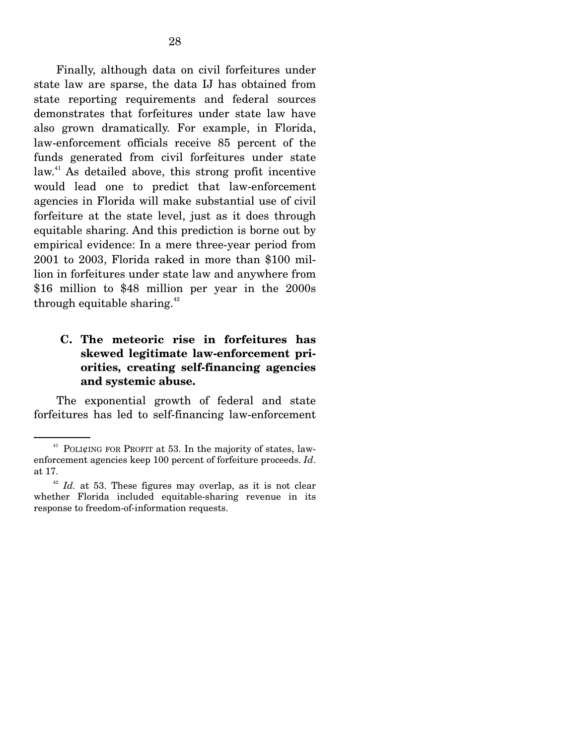Finally, although data on civil forfeitures under state law are sparse, the data IJ has obtained from state reporting requirements and federal sources demonstrates that forfeitures under state law have also grown dramatically. For example, in Florida, law-enforcement officials receive 85 percent of the funds generated from civil forfeitures under state law.41 As detailed above, this strong profit incentive would lead one to predict that law-enforcement agencies in Florida will make substantial use of civil forfeiture at the state level, just as it does through equitable sharing. And this prediction is borne out by empirical evidence: In a mere three-year period from 2001 to 2003, Florida raked in more than \$100 million in forfeitures under state law and anywhere from \$16 million to \$48 million per year in the 2000s through equitable sharing.<sup>42</sup>

### **C. The meteoric rise in forfeitures has skewed legitimate law-enforcement priorities, creating self-financing agencies and systemic abuse.**

 The exponential growth of federal and state forfeitures has led to self-financing law-enforcement

<sup>&</sup>lt;sup>41</sup> POLI¢ING FOR PROFIT at 53. In the majority of states, lawenforcement agencies keep 100 percent of forfeiture proceeds. *Id*. at 17.

 $42$  *Id.* at 53. These figures may overlap, as it is not clear whether Florida included equitable-sharing revenue in its response to freedom-of-information requests.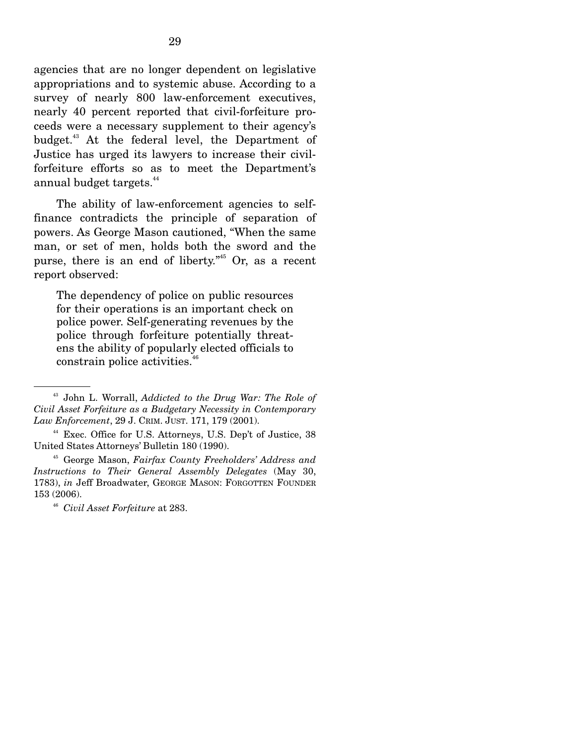agencies that are no longer dependent on legislative appropriations and to systemic abuse. According to a survey of nearly 800 law-enforcement executives, nearly 40 percent reported that civil-forfeiture proceeds were a necessary supplement to their agency's budget.<sup>43</sup> At the federal level, the Department of Justice has urged its lawyers to increase their civilforfeiture efforts so as to meet the Department's annual budget targets.<sup>44</sup>

 The ability of law-enforcement agencies to selffinance contradicts the principle of separation of powers. As George Mason cautioned, "When the same man, or set of men, holds both the sword and the purse, there is an end of liberty."<sup>45</sup> Or, as a recent report observed:

The dependency of police on public resources for their operations is an important check on police power. Self-generating revenues by the police through forfeiture potentially threatens the ability of popularly elected officials to constrain police activities.<sup>46</sup>

<sup>43</sup> John L. Worrall, *Addicted to the Drug War: The Role of Civil Asset Forfeiture as a Budgetary Necessity in Contemporary Law Enforcement*, 29 J. CRIM. JUST. 171, 179 (2001).

<sup>&</sup>lt;sup>44</sup> Exec. Office for U.S. Attorneys, U.S. Dep't of Justice, 38 United States Attorneys' Bulletin 180 (1990).

<sup>45</sup> George Mason, *Fairfax County Freeholders' Address and Instructions to Their General Assembly Delegates* (May 30, 1783), *in* Jeff Broadwater, GEORGE MASON: FORGOTTEN FOUNDER 153 (2006).

<sup>46</sup> *Civil Asset Forfeiture* at 283.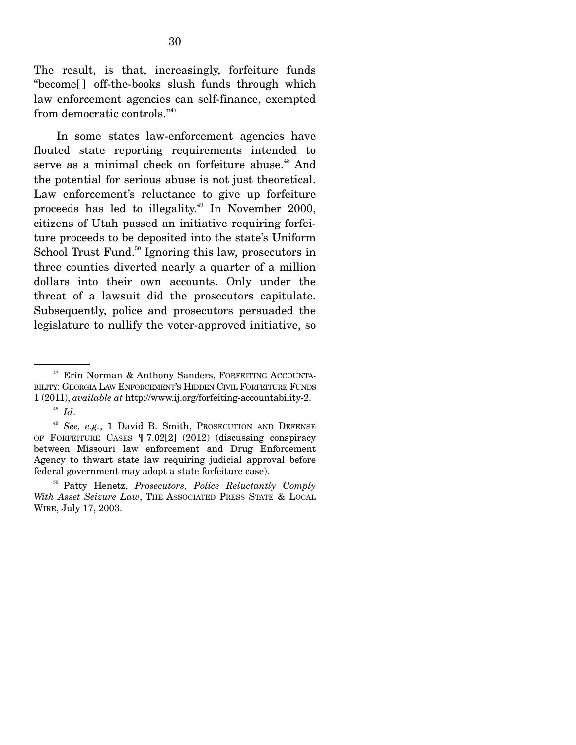The result, is that, increasingly, forfeiture funds "become[ ] off-the-books slush funds through which law enforcement agencies can self-finance, exempted from democratic controls."47

 In some states law-enforcement agencies have flouted state reporting requirements intended to serve as a minimal check on forfeiture abuse.<sup>48</sup> And the potential for serious abuse is not just theoretical. Law enforcement's reluctance to give up forfeiture proceeds has led to illegality.<sup>49</sup> In November 2000, citizens of Utah passed an initiative requiring forfeiture proceeds to be deposited into the state's Uniform School Trust Fund.<sup>50</sup> Ignoring this law, prosecutors in three counties diverted nearly a quarter of a million dollars into their own accounts. Only under the threat of a lawsuit did the prosecutors capitulate. Subsequently, police and prosecutors persuaded the legislature to nullify the voter-approved initiative, so

<sup>&</sup>lt;sup>47</sup> Erin Norman & Anthony Sanders, FORFEITING ACCOUNTA-BILITY: GEORGIA LAW ENFORCEMENT'S HIDDEN CIVIL FORFEITURE FUNDS 1 (2011), *available at* http://www.ij.org/forfeiting-accountability-2.

 $^{48}$  *Id.* 

<sup>49</sup> *See, e.g.*, 1 David B. Smith, PROSECUTION AND DEFENSE OF FORFEITURE CASES ¶ 7.02[2] (2012) (discussing conspiracy between Missouri law enforcement and Drug Enforcement Agency to thwart state law requiring judicial approval before federal government may adopt a state forfeiture case).

<sup>50</sup> Patty Henetz, *Prosecutors, Police Reluctantly Comply With Asset Seizure Law*, THE ASSOCIATED PRESS STATE & LOCAL WIRE, July 17, 2003.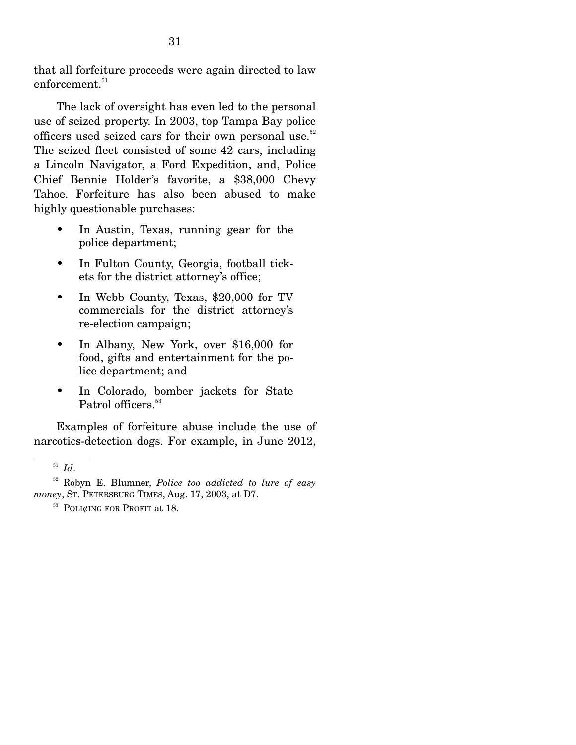that all forfeiture proceeds were again directed to law  $enforcement<sup>51</sup>$ 

 The lack of oversight has even led to the personal use of seized property. In 2003, top Tampa Bay police officers used seized cars for their own personal use.<sup>52</sup> The seized fleet consisted of some 42 cars, including a Lincoln Navigator, a Ford Expedition, and, Police Chief Bennie Holder's favorite, a \$38,000 Chevy Tahoe. Forfeiture has also been abused to make highly questionable purchases:

- In Austin, Texas, running gear for the police department;
- In Fulton County, Georgia, football tickets for the district attorney's office;
- In Webb County, Texas, \$20,000 for TV commercials for the district attorney's re-election campaign;
- In Albany, New York, over \$16,000 for food, gifts and entertainment for the police department; and
- In Colorado, bomber jackets for State Patrol officers.<sup>53</sup>

 Examples of forfeiture abuse include the use of narcotics-detection dogs. For example, in June 2012,

<sup>51</sup> *Id*.

<sup>52</sup> Robyn E. Blumner, *Police too addicted to lure of easy money*, St. PETERSBURG TIMES, Aug. 17, 2003, at D7.<br><sup>53</sup> POLI¢ING FOR PROFIT at 18.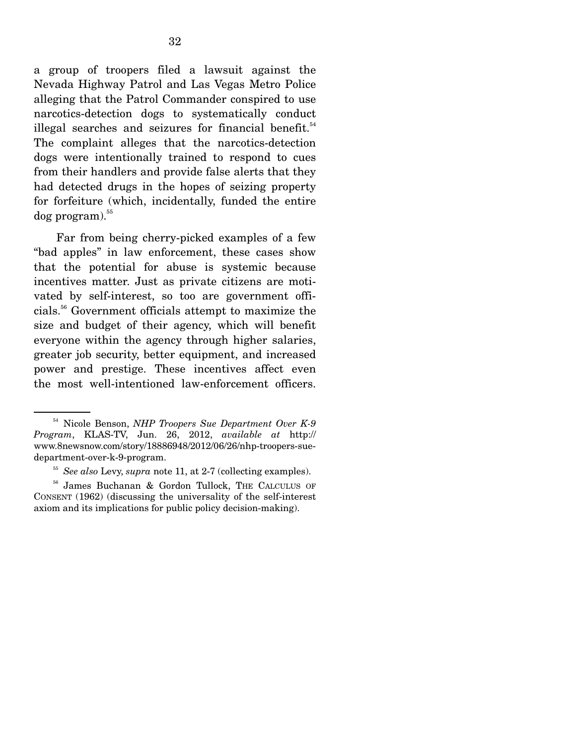a group of troopers filed a lawsuit against the Nevada Highway Patrol and Las Vegas Metro Police alleging that the Patrol Commander conspired to use narcotics-detection dogs to systematically conduct illegal searches and seizures for financial benefit.<sup>54</sup> The complaint alleges that the narcotics-detection dogs were intentionally trained to respond to cues from their handlers and provide false alerts that they had detected drugs in the hopes of seizing property for forfeiture (which, incidentally, funded the entire  $\log$  program). $^{55}$ 

 Far from being cherry-picked examples of a few "bad apples" in law enforcement, these cases show that the potential for abuse is systemic because incentives matter. Just as private citizens are motivated by self-interest, so too are government officials.56 Government officials attempt to maximize the size and budget of their agency, which will benefit everyone within the agency through higher salaries, greater job security, better equipment, and increased power and prestige. These incentives affect even the most well-intentioned law-enforcement officers.

<sup>54</sup> Nicole Benson, *NHP Troopers Sue Department Over K-9 Program*, KLAS-TV, Jun. 26, 2012, *available at* http:// www.8newsnow.com/story/18886948/2012/06/26/nhp-troopers-suedepartment-over-k-9-program.

<sup>55</sup> *See also* Levy, *supra* note 11, at 2-7 (collecting examples).

<sup>56</sup> James Buchanan & Gordon Tullock, THE CALCULUS OF CONSENT (1962) (discussing the universality of the self-interest axiom and its implications for public policy decision-making).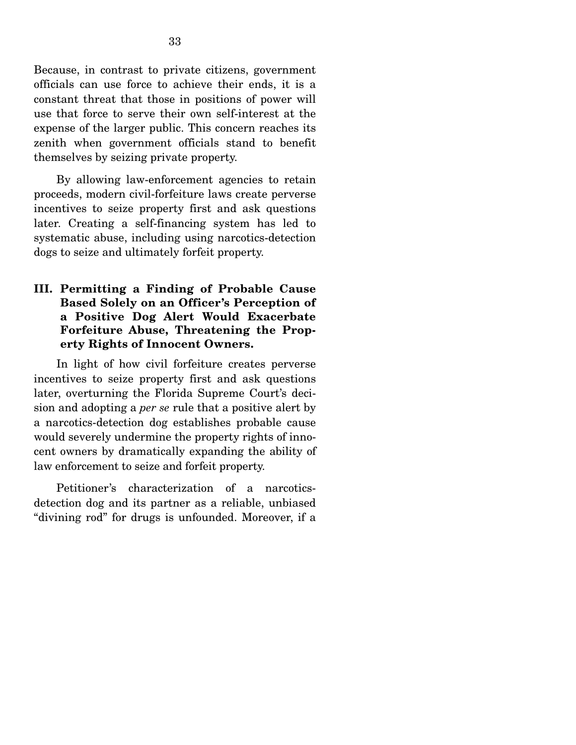Because, in contrast to private citizens, government officials can use force to achieve their ends, it is a constant threat that those in positions of power will use that force to serve their own self-interest at the expense of the larger public. This concern reaches its zenith when government officials stand to benefit themselves by seizing private property.

 By allowing law-enforcement agencies to retain proceeds, modern civil-forfeiture laws create perverse incentives to seize property first and ask questions later. Creating a self-financing system has led to systematic abuse, including using narcotics-detection dogs to seize and ultimately forfeit property.

### **III. Permitting a Finding of Probable Cause Based Solely on an Officer's Perception of a Positive Dog Alert Would Exacerbate Forfeiture Abuse, Threatening the Property Rights of Innocent Owners.**

 In light of how civil forfeiture creates perverse incentives to seize property first and ask questions later, overturning the Florida Supreme Court's decision and adopting a *per se* rule that a positive alert by a narcotics-detection dog establishes probable cause would severely undermine the property rights of innocent owners by dramatically expanding the ability of law enforcement to seize and forfeit property.

 Petitioner's characterization of a narcoticsdetection dog and its partner as a reliable, unbiased "divining rod" for drugs is unfounded. Moreover, if a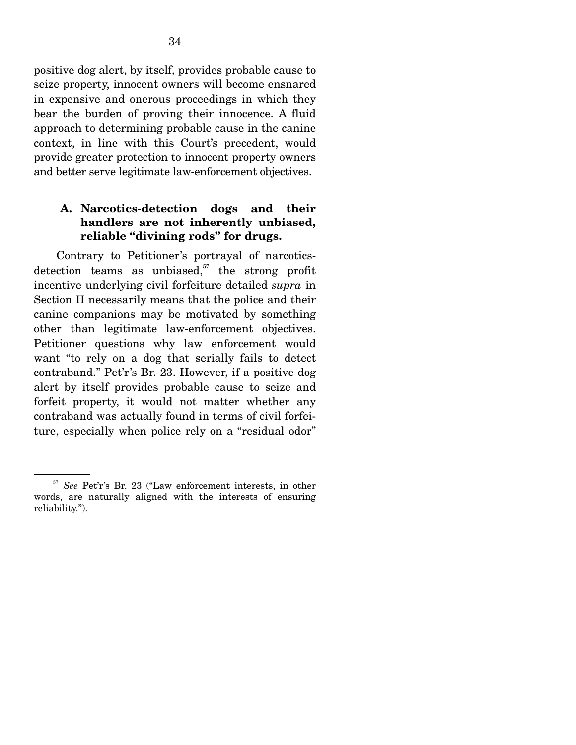positive dog alert, by itself, provides probable cause to seize property, innocent owners will become ensnared in expensive and onerous proceedings in which they bear the burden of proving their innocence. A fluid approach to determining probable cause in the canine context, in line with this Court's precedent, would provide greater protection to innocent property owners and better serve legitimate law-enforcement objectives.

### **A. Narcotics-detection dogs and their handlers are not inherently unbiased, reliable "divining rods" for drugs.**

 Contrary to Petitioner's portrayal of narcoticsdetection teams as unbiased, $57$  the strong profit incentive underlying civil forfeiture detailed *supra* in Section II necessarily means that the police and their canine companions may be motivated by something other than legitimate law-enforcement objectives. Petitioner questions why law enforcement would want "to rely on a dog that serially fails to detect contraband." Pet'r's Br. 23. However, if a positive dog alert by itself provides probable cause to seize and forfeit property, it would not matter whether any contraband was actually found in terms of civil forfeiture, especially when police rely on a "residual odor"

<sup>57</sup> *See* Pet'r's Br. 23 ("Law enforcement interests, in other words, are naturally aligned with the interests of ensuring reliability.").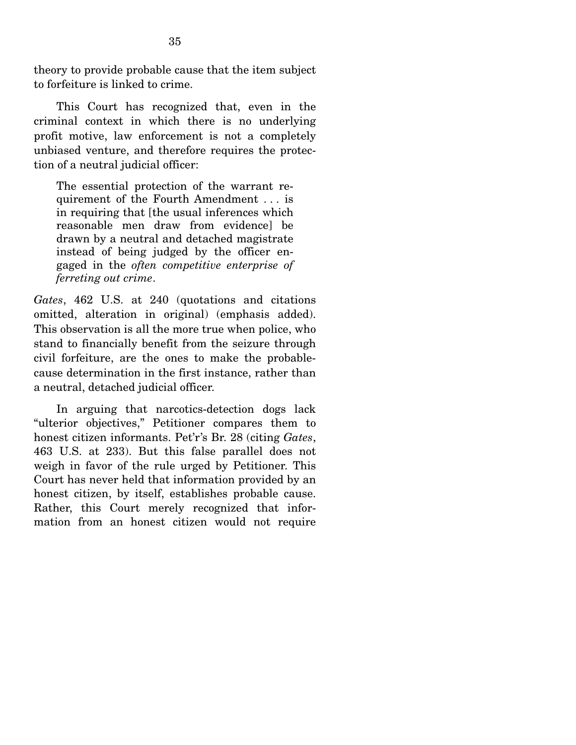theory to provide probable cause that the item subject to forfeiture is linked to crime.

 This Court has recognized that, even in the criminal context in which there is no underlying profit motive, law enforcement is not a completely unbiased venture, and therefore requires the protection of a neutral judicial officer:

The essential protection of the warrant requirement of the Fourth Amendment . . . is in requiring that [the usual inferences which reasonable men draw from evidence] be drawn by a neutral and detached magistrate instead of being judged by the officer engaged in the *often competitive enterprise of ferreting out crime*.

*Gates*, 462 U.S. at 240 (quotations and citations omitted, alteration in original) (emphasis added). This observation is all the more true when police, who stand to financially benefit from the seizure through civil forfeiture, are the ones to make the probablecause determination in the first instance, rather than a neutral, detached judicial officer.

 In arguing that narcotics-detection dogs lack "ulterior objectives," Petitioner compares them to honest citizen informants. Pet'r's Br. 28 (citing *Gates*, 463 U.S. at 233). But this false parallel does not weigh in favor of the rule urged by Petitioner. This Court has never held that information provided by an honest citizen, by itself, establishes probable cause. Rather, this Court merely recognized that information from an honest citizen would not require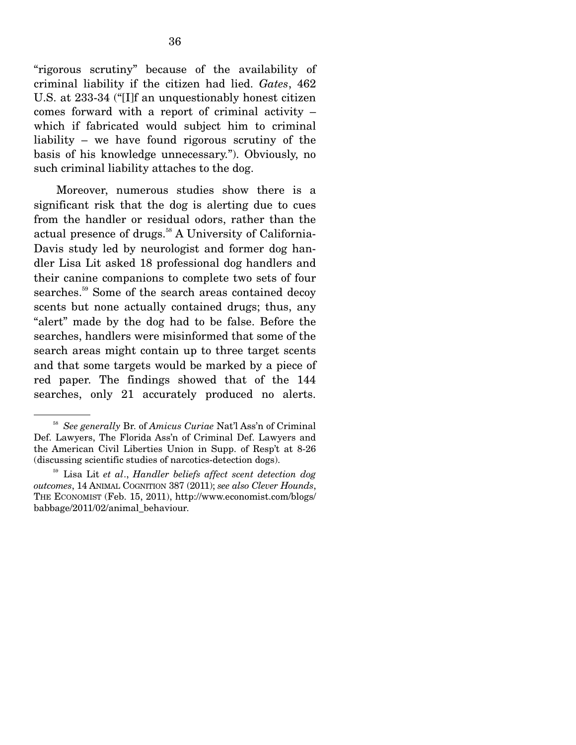"rigorous scrutiny" because of the availability of criminal liability if the citizen had lied. *Gates*, 462 U.S. at 233-34 ("[I]f an unquestionably honest citizen comes forward with a report of criminal activity – which if fabricated would subject him to criminal liability – we have found rigorous scrutiny of the basis of his knowledge unnecessary."). Obviously, no such criminal liability attaches to the dog.

 Moreover, numerous studies show there is a significant risk that the dog is alerting due to cues from the handler or residual odors, rather than the actual presence of drugs. $58$  A University of California-Davis study led by neurologist and former dog handler Lisa Lit asked 18 professional dog handlers and their canine companions to complete two sets of four searches.<sup>59</sup> Some of the search areas contained decoy scents but none actually contained drugs; thus, any "alert" made by the dog had to be false. Before the searches, handlers were misinformed that some of the search areas might contain up to three target scents and that some targets would be marked by a piece of red paper. The findings showed that of the 144 searches, only 21 accurately produced no alerts.

<sup>58</sup> *See generally* Br. of *Amicus Curiae* Nat'l Ass'n of Criminal Def. Lawyers, The Florida Ass'n of Criminal Def. Lawyers and the American Civil Liberties Union in Supp. of Resp't at 8-26 (discussing scientific studies of narcotics-detection dogs).

<sup>59</sup> Lisa Lit *et al*., *Handler beliefs affect scent detection dog outcomes*, 14 ANIMAL COGNITION 387 (2011); *see also Clever Hounds*, THE ECONOMIST (Feb. 15, 2011), http://www.economist.com/blogs/ babbage/2011/02/animal\_behaviour.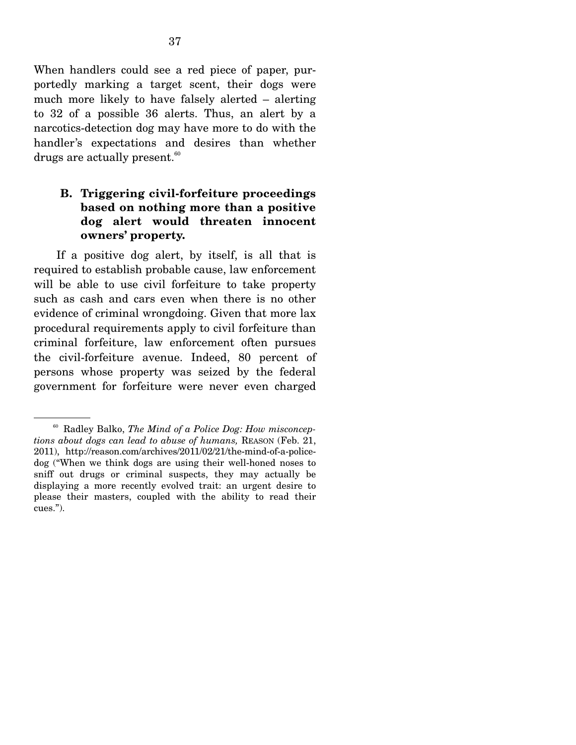When handlers could see a red piece of paper, purportedly marking a target scent, their dogs were much more likely to have falsely alerted – alerting to 32 of a possible 36 alerts. Thus, an alert by a narcotics-detection dog may have more to do with the handler's expectations and desires than whether drugs are actually present. $60$ 

### **B. Triggering civil-forfeiture proceedings based on nothing more than a positive dog alert would threaten innocent owners' property.**

 If a positive dog alert, by itself, is all that is required to establish probable cause, law enforcement will be able to use civil forfeiture to take property such as cash and cars even when there is no other evidence of criminal wrongdoing. Given that more lax procedural requirements apply to civil forfeiture than criminal forfeiture, law enforcement often pursues the civil-forfeiture avenue. Indeed, 80 percent of persons whose property was seized by the federal government for forfeiture were never even charged

<sup>60</sup> Radley Balko, *The Mind of a Police Dog: How misconceptions about dogs can lead to abuse of humans,* REASON (Feb. 21, 2011), http://reason.com/archives/2011/02/21/the-mind-of-a-policedog ("When we think dogs are using their well-honed noses to sniff out drugs or criminal suspects, they may actually be displaying a more recently evolved trait: an urgent desire to please their masters, coupled with the ability to read their cues.").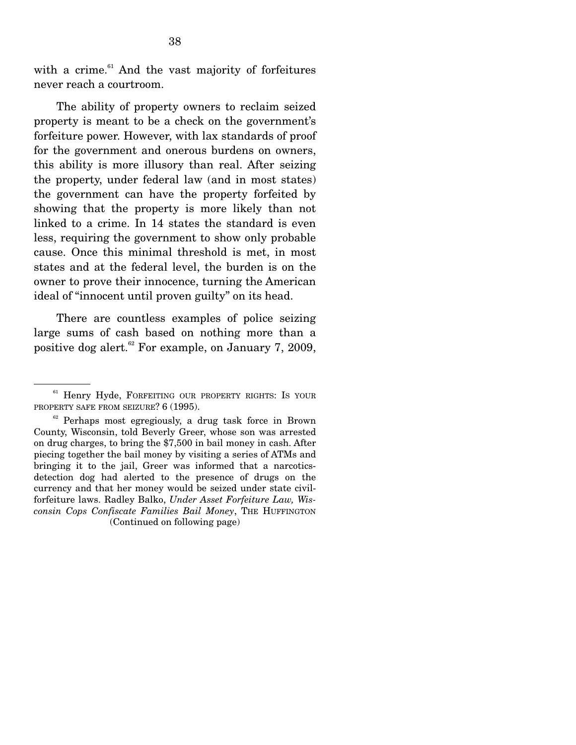with a crime. $61$  And the vast majority of forfeitures never reach a courtroom.

 The ability of property owners to reclaim seized property is meant to be a check on the government's forfeiture power. However, with lax standards of proof for the government and onerous burdens on owners, this ability is more illusory than real. After seizing the property, under federal law (and in most states) the government can have the property forfeited by showing that the property is more likely than not linked to a crime. In 14 states the standard is even less, requiring the government to show only probable cause. Once this minimal threshold is met, in most states and at the federal level, the burden is on the owner to prove their innocence, turning the American ideal of "innocent until proven guilty" on its head.

 There are countless examples of police seizing large sums of cash based on nothing more than a positive dog alert.<sup>62</sup> For example, on January 7, 2009,

<sup>&</sup>lt;sup>61</sup> Henry Hyde, FORFEITING OUR PROPERTY RIGHTS: IS YOUR PROPERTY SAFE FROM SEIZURE? 6 (1995).

 $62$  Perhaps most egregiously, a drug task force in Brown County, Wisconsin, told Beverly Greer, whose son was arrested on drug charges, to bring the \$7,500 in bail money in cash. After piecing together the bail money by visiting a series of ATMs and bringing it to the jail, Greer was informed that a narcoticsdetection dog had alerted to the presence of drugs on the currency and that her money would be seized under state civilforfeiture laws. Radley Balko, *Under Asset Forfeiture Law, Wisconsin Cops Confiscate Families Bail Money*, THE HUFFINGTON (Continued on following page)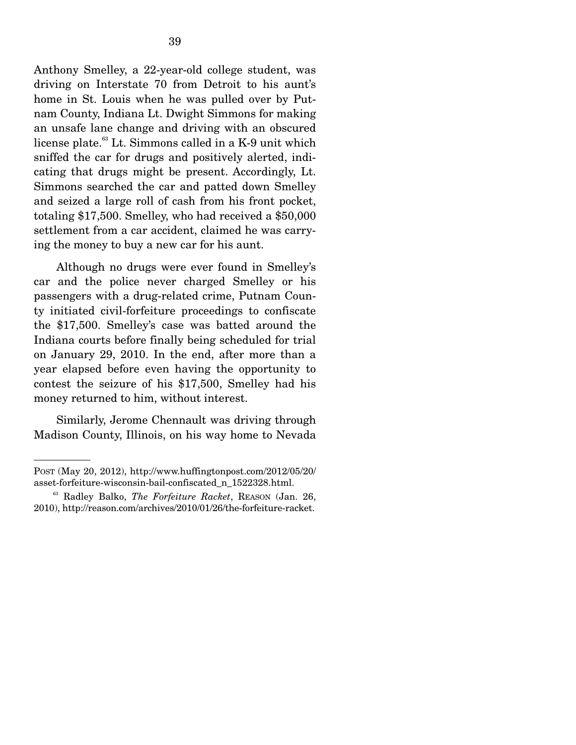Anthony Smelley, a 22-year-old college student, was driving on Interstate 70 from Detroit to his aunt's home in St. Louis when he was pulled over by Putnam County, Indiana Lt. Dwight Simmons for making an unsafe lane change and driving with an obscured license plate.<sup>63</sup> Lt. Simmons called in a K-9 unit which sniffed the car for drugs and positively alerted, indicating that drugs might be present. Accordingly, Lt. Simmons searched the car and patted down Smelley and seized a large roll of cash from his front pocket, totaling \$17,500. Smelley, who had received a \$50,000 settlement from a car accident, claimed he was carrying the money to buy a new car for his aunt.

 Although no drugs were ever found in Smelley's car and the police never charged Smelley or his passengers with a drug-related crime, Putnam County initiated civil-forfeiture proceedings to confiscate the \$17,500. Smelley's case was batted around the Indiana courts before finally being scheduled for trial on January 29, 2010. In the end, after more than a year elapsed before even having the opportunity to contest the seizure of his \$17,500, Smelley had his money returned to him, without interest.

 Similarly, Jerome Chennault was driving through Madison County, Illinois, on his way home to Nevada

POST (May 20, 2012), http://www.huffingtonpost.com/2012/05/20/ asset-forfeiture-wisconsin-bail-confiscated\_n\_1522328.html.

<sup>63</sup> Radley Balko, *The Forfeiture Racket*, REASON (Jan. 26, 2010), http://reason.com/archives/2010/01/26/the-forfeiture-racket.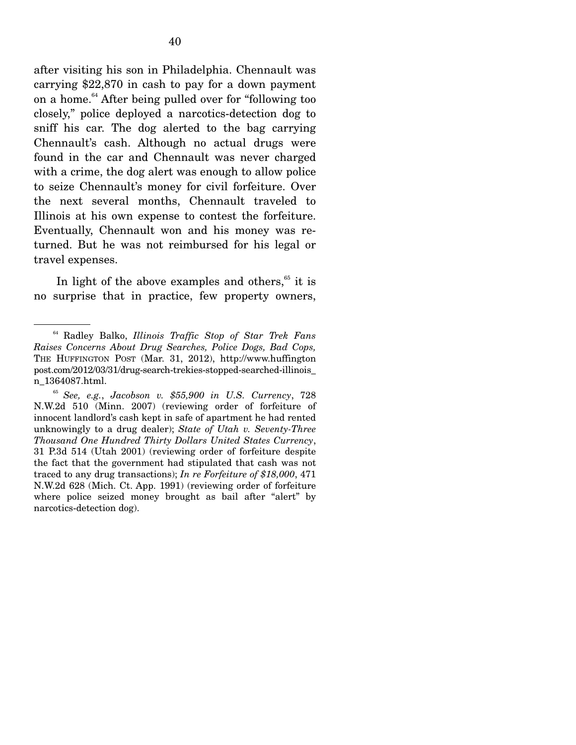after visiting his son in Philadelphia. Chennault was carrying \$22,870 in cash to pay for a down payment on a home.64 After being pulled over for "following too closely," police deployed a narcotics-detection dog to sniff his car. The dog alerted to the bag carrying Chennault's cash. Although no actual drugs were found in the car and Chennault was never charged with a crime, the dog alert was enough to allow police to seize Chennault's money for civil forfeiture. Over the next several months, Chennault traveled to Illinois at his own expense to contest the forfeiture. Eventually, Chennault won and his money was returned. But he was not reimbursed for his legal or travel expenses.

In light of the above examples and others,<sup>65</sup> it is no surprise that in practice, few property owners,

<sup>64</sup> Radley Balko, *Illinois Traffic Stop of Star Trek Fans Raises Concerns About Drug Searches, Police Dogs, Bad Cops,*  THE HUFFINGTON POST (Mar. 31, 2012), http://www.huffington post.com/2012/03/31/drug-search-trekies-stopped-searched-illinois\_ n\_1364087.html.

<sup>65</sup> *See, e.g.*, *Jacobson v. \$55,900 in U.S. Currency*, 728 N.W.2d 510 (Minn. 2007) (reviewing order of forfeiture of innocent landlord's cash kept in safe of apartment he had rented unknowingly to a drug dealer); *State of Utah v. Seventy-Three Thousand One Hundred Thirty Dollars United States Currency*, 31 P.3d 514 (Utah 2001) (reviewing order of forfeiture despite the fact that the government had stipulated that cash was not traced to any drug transactions); *In re Forfeiture of \$18,000*, 471 N.W.2d 628 (Mich. Ct. App. 1991) (reviewing order of forfeiture where police seized money brought as bail after "alert" by narcotics-detection dog).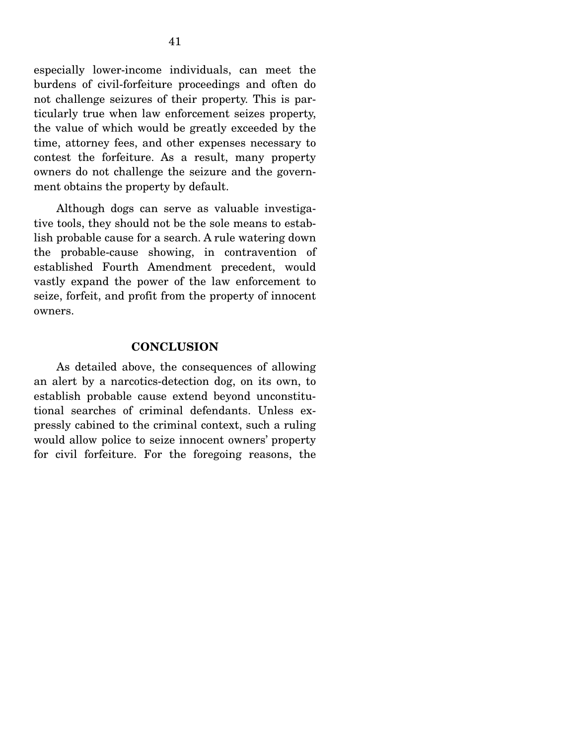especially lower-income individuals, can meet the burdens of civil-forfeiture proceedings and often do not challenge seizures of their property. This is particularly true when law enforcement seizes property, the value of which would be greatly exceeded by the time, attorney fees, and other expenses necessary to contest the forfeiture. As a result, many property owners do not challenge the seizure and the government obtains the property by default.

 Although dogs can serve as valuable investigative tools, they should not be the sole means to establish probable cause for a search. A rule watering down the probable-cause showing, in contravention of established Fourth Amendment precedent, would vastly expand the power of the law enforcement to seize, forfeit, and profit from the property of innocent owners.

#### **CONCLUSION**

 As detailed above, the consequences of allowing an alert by a narcotics-detection dog, on its own, to establish probable cause extend beyond unconstitutional searches of criminal defendants. Unless expressly cabined to the criminal context, such a ruling would allow police to seize innocent owners' property for civil forfeiture. For the foregoing reasons, the